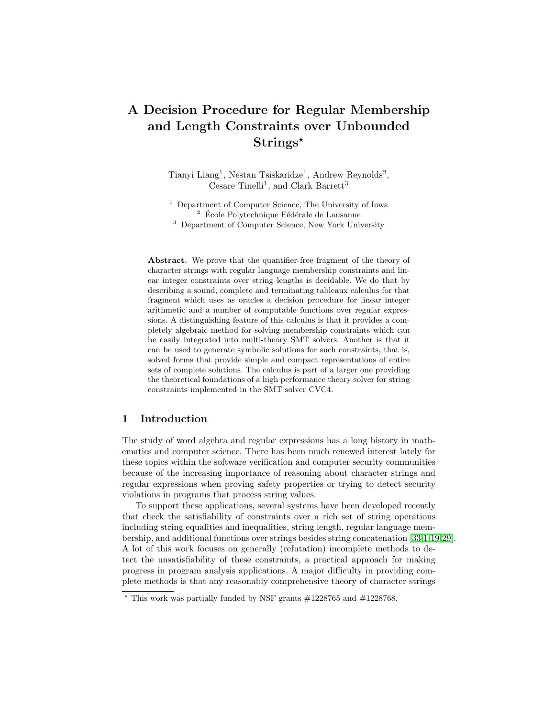# A Decision Procedure for Regular Membership and Length Constraints over Unbounded  $Strings^{\star}$

Tianyi Liang<sup>1</sup>, Nestan Tsiskaridze<sup>1</sup>, Andrew Reynolds<sup>2</sup>, Cesare Tinelli<sup>1</sup>, and Clark Barrett<sup>3</sup>

<sup>1</sup> Department of Computer Science, The University of Iowa  $2\,$  École Polytechnique Fédérale de Lausanne <sup>3</sup> Department of Computer Science, New York University

Abstract. We prove that the quantifier-free fragment of the theory of character strings with regular language membership constraints and linear integer constraints over string lengths is decidable. We do that by describing a sound, complete and terminating tableaux calculus for that fragment which uses as oracles a decision procedure for linear integer arithmetic and a number of computable functions over regular expressions. A distinguishing feature of this calculus is that it provides a completely algebraic method for solving membership constraints which can be easily integrated into multi-theory SMT solvers. Another is that it can be used to generate symbolic solutions for such constraints, that is, solved forms that provide simple and compact representations of entire sets of complete solutions. The calculus is part of a larger one providing the theoretical foundations of a high performance theory solver for string constraints implemented in the SMT solver CVC4.

# 1 Introduction

The study of word algebra and regular expressions has a long history in mathematics and computer science. There has been much renewed interest lately for these topics within the software verification and computer security communities because of the increasing importance of reasoning about character strings and regular expressions when proving safety properties or trying to detect security violations in programs that process string values.

To support these applications, several systems have been developed recently that check the satisfiability of constraints over a rich set of string operations including string equalities and inequalities, string length, regular language membership, and additional functions over strings besides string concatenation [\[33,](#page-15-0)[1,](#page-13-0)[19,](#page-14-0)[29\]](#page-15-1). A lot of this work focuses on generally (refutation) incomplete methods to detect the unsatisfiability of these constraints, a practical approach for making progress in program analysis applications. A major difficulty in providing complete methods is that any reasonably comprehensive theory of character strings

 $*$  This work was partially funded by NSF grants  $\#1228765$  and  $\#1228768$ .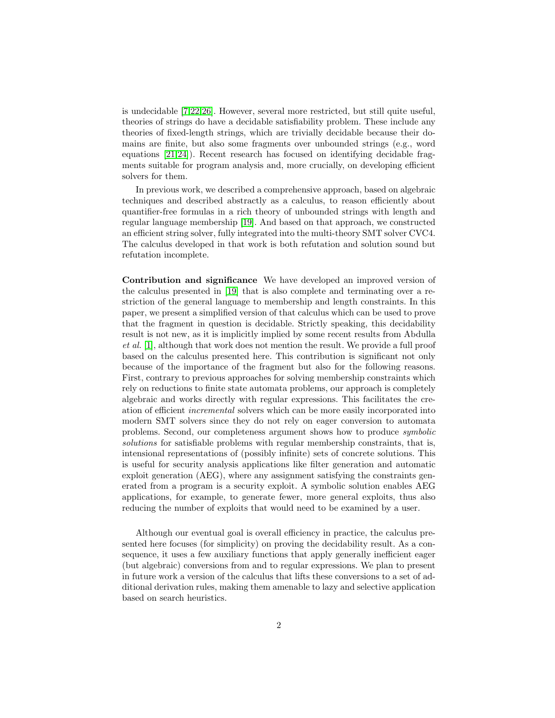is undecidable [\[7](#page-13-1)[,22,](#page-15-2)[26\]](#page-15-3). However, several more restricted, but still quite useful, theories of strings do have a decidable satisfiability problem. These include any theories of fixed-length strings, which are trivially decidable because their domains are finite, but also some fragments over unbounded strings (e.g., word equations [\[21](#page-14-1)[,24\]](#page-15-4)). Recent research has focused on identifying decidable fragments suitable for program analysis and, more crucially, on developing efficient solvers for them.

In previous work, we described a comprehensive approach, based on algebraic techniques and described abstractly as a calculus, to reason efficiently about quantifier-free formulas in a rich theory of unbounded strings with length and regular language membership [\[19\]](#page-14-0). And based on that approach, we constructed an efficient string solver, fully integrated into the multi-theory SMT solver CVC4. The calculus developed in that work is both refutation and solution sound but refutation incomplete.

Contribution and significance We have developed an improved version of the calculus presented in [\[19\]](#page-14-0) that is also complete and terminating over a restriction of the general language to membership and length constraints. In this paper, we present a simplified version of that calculus which can be used to prove that the fragment in question is decidable. Strictly speaking, this decidability result is not new, as it is implicitly implied by some recent results from Abdulla et al. [\[1\]](#page-13-0), although that work does not mention the result. We provide a full proof based on the calculus presented here. This contribution is significant not only because of the importance of the fragment but also for the following reasons. First, contrary to previous approaches for solving membership constraints which rely on reductions to finite state automata problems, our approach is completely algebraic and works directly with regular expressions. This facilitates the creation of efficient incremental solvers which can be more easily incorporated into modern SMT solvers since they do not rely on eager conversion to automata problems. Second, our completeness argument shows how to produce symbolic solutions for satisfiable problems with regular membership constraints, that is, intensional representations of (possibly infinite) sets of concrete solutions. This is useful for security analysis applications like filter generation and automatic exploit generation (AEG), where any assignment satisfying the constraints generated from a program is a security exploit. A symbolic solution enables AEG applications, for example, to generate fewer, more general exploits, thus also reducing the number of exploits that would need to be examined by a user.

Although our eventual goal is overall efficiency in practice, the calculus presented here focuses (for simplicity) on proving the decidability result. As a consequence, it uses a few auxiliary functions that apply generally inefficient eager (but algebraic) conversions from and to regular expressions. We plan to present in future work a version of the calculus that lifts these conversions to a set of additional derivation rules, making them amenable to lazy and selective application based on search heuristics.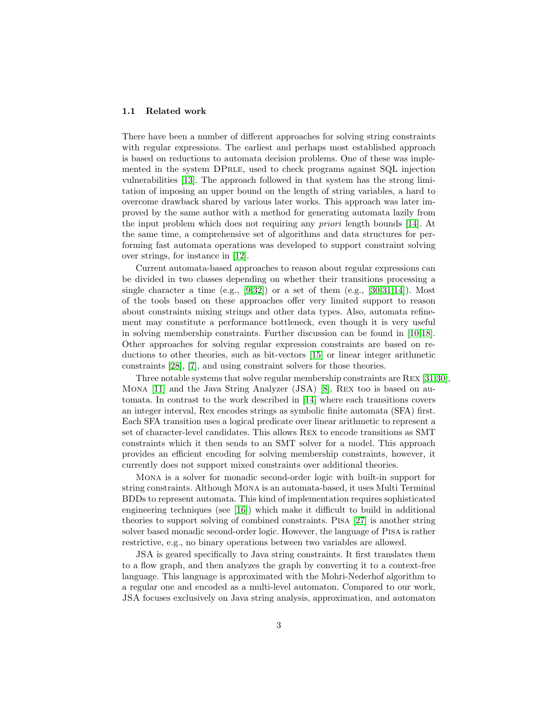#### 1.1 Related work

There have been a number of different approaches for solving string constraints with regular expressions. The earliest and perhaps most established approach is based on reductions to automata decision problems. One of these was implemented in the system DPRLE, used to check programs against SQL injection vulnerabilities [\[13\]](#page-14-2). The approach followed in that system has the strong limitation of imposing an upper bound on the length of string variables, a hard to overcome drawback shared by various later works. This approach was later improved by the same author with a method for generating automata lazily from the input problem which does not requiring any priori length bounds [\[14\]](#page-14-3). At the same time, a comprehensive set of algorithms and data structures for performing fast automata operations was developed to support constraint solving over strings, for instance in [\[12\]](#page-14-4).

Current automata-based approaches to reason about regular expressions can be divided in two classes depending on whether their transitions processing a single character a time (e.g.,  $[9,32]$  $[9,32]$ ) or a set of them (e.g.,  $[30,31,14]$  $[30,31,14]$  $[30,31,14]$ ). Most of the tools based on these approaches offer very limited support to reason about constraints mixing strings and other data types. Also, automata refinement may constitute a performance bottleneck, even though it is very useful in solving membership constraints. Further discussion can be found in [\[10,](#page-14-6)[18\]](#page-14-7). Other approaches for solving regular expression constraints are based on reductions to other theories, such as bit-vectors [\[15\]](#page-14-8) or linear integer arithmetic constraints [\[28\]](#page-15-8), [\[7\]](#page-13-1), and using constraint solvers for those theories.

Three notable systems that solve regular membership constraints are Rex [\[31,](#page-15-7)[30\]](#page-15-6), Mona [\[11\]](#page-14-9) and the Java String Analyzer (JSA) [\[8\]](#page-14-10). Rex too is based on automata. In contrast to the work described in [\[14\]](#page-14-3) where each transitions covers an integer interval, Rex encodes strings as symbolic finite automata (SFA) first. Each SFA transition uses a logical predicate over linear arithmetic to represent a set of character-level candidates. This allows Rex to encode transitions as SMT constraints which it then sends to an SMT solver for a model. This approach provides an efficient encoding for solving membership constraints, however, it currently does not support mixed constraints over additional theories.

Mona is a solver for monadic second-order logic with built-in support for string constraints. Although Mona is an automata-based, it uses Multi Terminal BDDs to represent automata. This kind of implementation requires sophisticated engineering techniques (see [\[16\]](#page-14-11)) which make it difficult to build in additional theories to support solving of combined constraints. Pisa [\[27\]](#page-15-9) is another string solver based monadic second-order logic. However, the language of Pisa is rather restrictive, e.g., no binary operations between two variables are allowed.

JSA is geared specifically to Java string constraints. It first translates them to a flow graph, and then analyzes the graph by converting it to a context-free language. This language is approximated with the Mohri-Nederhof algorithm to a regular one and encoded as a multi-level automaton. Compared to our work, JSA focuses exclusively on Java string analysis, approximation, and automaton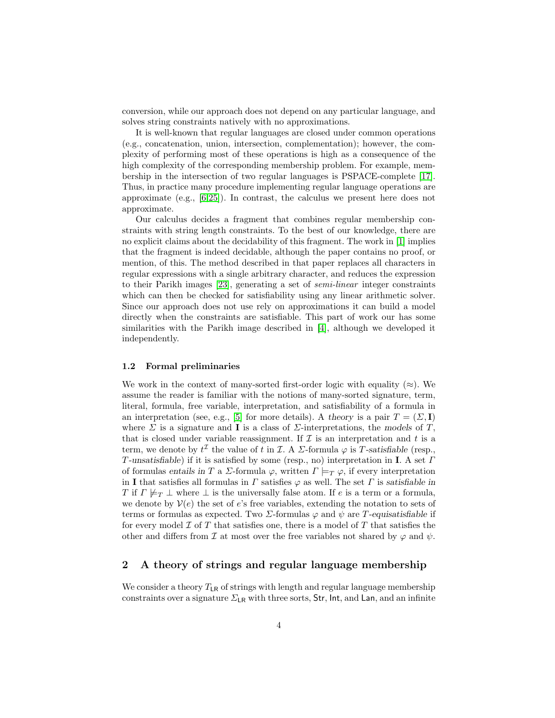conversion, while our approach does not depend on any particular language, and solves string constraints natively with no approximations.

It is well-known that regular languages are closed under common operations (e.g., concatenation, union, intersection, complementation); however, the complexity of performing most of these operations is high as a consequence of the high complexity of the corresponding membership problem. For example, membership in the intersection of two regular languages is PSPACE-complete [\[17\]](#page-14-12). Thus, in practice many procedure implementing regular language operations are approximate (e.g.,  $[6,25]$  $[6,25]$ ). In contrast, the calculus we present here does not approximate.

Our calculus decides a fragment that combines regular membership constraints with string length constraints. To the best of our knowledge, there are no explicit claims about the decidability of this fragment. The work in [\[1\]](#page-13-0) implies that the fragment is indeed decidable, although the paper contains no proof, or mention, of this. The method described in that paper replaces all characters in regular expressions with a single arbitrary character, and reduces the expression to their Parikh images [\[23\]](#page-15-11), generating a set of semi-linear integer constraints which can then be checked for satisfiability using any linear arithmetic solver. Since our approach does not use rely on approximations it can build a model directly when the constraints are satisfiable. This part of work our has some similarities with the Parikh image described in [\[4\]](#page-13-3), although we developed it independently.

#### 1.2 Formal preliminaries

We work in the context of many-sorted first-order logic with equality  $(\approx)$ . We assume the reader is familiar with the notions of many-sorted signature, term, literal, formula, free variable, interpretation, and satisfiability of a formula in an interpretation (see, e.g., [\[5\]](#page-13-4) for more details). A theory is a pair  $T = (\Sigma, I)$ where  $\Sigma$  is a signature and **I** is a class of  $\Sigma$ -interpretations, the models of T, that is closed under variable reassignment. If  $\mathcal I$  is an interpretation and  $t$  is a term, we denote by  $t^{\mathcal{I}}$  the value of t in  $\mathcal{I}$ . A  $\Sigma$ -formula  $\varphi$  is T-satisfiable (resp., T-unsatisfiable) if it is satisfied by some (resp., no) interpretation in **I**. A set  $\Gamma$ of formulas entails in T a  $\Sigma$ -formula  $\varphi$ , written  $\Gamma \models_T \varphi$ , if every interpretation in I that satisfies all formulas in  $\Gamma$  satisfies  $\varphi$  as well. The set  $\Gamma$  is satisfiable in T if  $\Gamma \not\models_{\mathcal{T}} \bot$  where  $\bot$  is the universally false atom. If e is a term or a formula, we denote by  $V(e)$  the set of e's free variables, extending the notation to sets of terms or formulas as expected. Two  $\Sigma$ -formulas  $\varphi$  and  $\psi$  are T-equisatisfiable if for every model  $\mathcal I$  of  $T$  that satisfies one, there is a model of  $T$  that satisfies the other and differs from I at most over the free variables not shared by  $\varphi$  and  $\psi$ .

## <span id="page-3-0"></span>2 A theory of strings and regular language membership

We consider a theory  $T_{LR}$  of strings with length and regular language membership constraints over a signature  $\Sigma_{LR}$  with three sorts, Str, Int, and Lan, and an infinite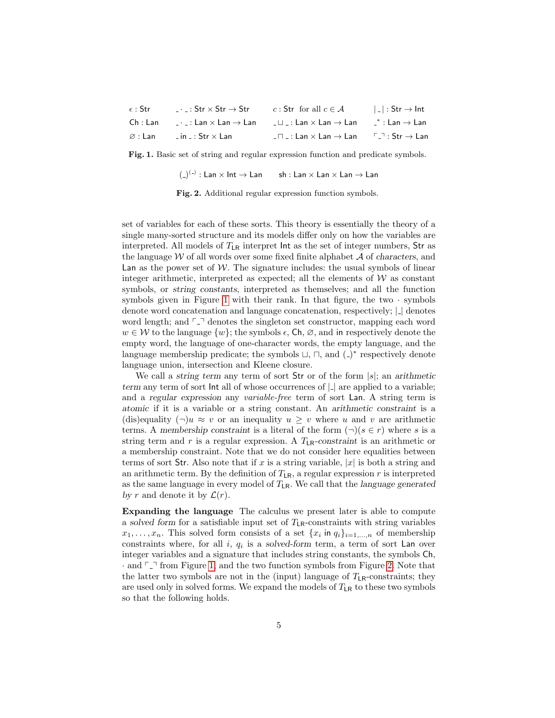| $\epsilon$ : Str | $\_\cdot$ $\_\cdot$ : Str $\times$ Str $\to$ Str | c: Str for all $c \in \mathcal{A}$                                              | $ \_$ : Str $\rightarrow$ Int |
|------------------|--------------------------------------------------|---------------------------------------------------------------------------------|-------------------------------|
| Ch : Lan         | $\ldots$ : Lan $\times$ Lan $\to$ Lan            | $\_ \sqcup \_$ : Lan $\times$ Lan $\rightarrow$ Lan                             | $\_\,^*$ : Lan $\to$ Lan      |
| ∅:Lan            | $\_$ in $\_$ : Str $\times$ Lan                  | $\Box \Box$ : Lan $\times$ Lan $\rightarrow$ Lan $\Box$ : Str $\rightarrow$ Lan |                               |

<span id="page-4-0"></span>Fig. 1. Basic set of string and regular expression function and predicate symbols.

 $(\_)^{(-)}: \mathsf{Lan} \times \mathsf{Int} \to \mathsf{Lan} \qquad \mathsf{sh} : \mathsf{Lan} \times \mathsf{Lan} \times \mathsf{Lan} \to \mathsf{Lan}$ 

<span id="page-4-1"></span>Fig. 2. Additional regular expression function symbols.

set of variables for each of these sorts. This theory is essentially the theory of a single many-sorted structure and its models differ only on how the variables are interpreted. All models of  $T_{LR}$  interpret lnt as the set of integer numbers, Str as the language  $W$  of all words over some fixed finite alphabet  $A$  of characters, and Lan as the power set of  $W$ . The signature includes: the usual symbols of linear integer arithmetic, interpreted as expected; all the elements of  $W$  as constant symbols, or string constants, interpreted as themselves; and all the function symbols given in Figure [1](#page-4-0) with their rank. In that figure, the two  $\cdot$  symbols denote word concatenation and language concatenation, respectively;  $\lfloor \cdot \rfloor$  denotes word length; and  $\lceil \cdot \rceil$  denotes the singleton set constructor, mapping each word  $w \in \mathcal{W}$  to the language  $\{w\}$ ; the symbols  $\epsilon$ , Ch,  $\varnothing$ , and in respectively denote the empty word, the language of one-character words, the empty language, and the language membership predicate; the symbols  $\sqcup$ ,  $\sqcap$ , and  $(\_)^*$  respectively denote language union, intersection and Kleene closure.

We call a string term any term of sort  $\mathsf{Str}$  or of the form  $|s|$ ; an arithmetic term any term of sort lnt all of whose occurrences of  $\vert \cdot \vert$  are applied to a variable; and a regular expression any variable-free term of sort Lan. A string term is atomic if it is a variable or a string constant. An arithmetic constraint is a (dis)equality  $(\neg)u \approx v$  or an inequality  $u \geq v$  where u and v are arithmetic terms. A membership constraint is a literal of the form  $(\neg)(s \in r)$  where s is a string term and r is a regular expression. A  $T_{LR}$ -constraint is an arithmetic or a membership constraint. Note that we do not consider here equalities between terms of sort Str. Also note that if x is a string variable,  $|x|$  is both a string and an arithmetic term. By the definition of  $T_{LR}$ , a regular expression r is interpreted as the same language in every model of  $T_{LR}$ . We call that the language generated by r and denote it by  $\mathcal{L}(r)$ .

Expanding the language The calculus we present later is able to compute a solved form for a satisfiable input set of  $T_{LR}$ -constraints with string variables  $x_1, \ldots, x_n$ . This solved form consists of a set  $\{x_i \text{ in } q_i\}_{i=1,\ldots,n}$  of membership constraints where, for all  $i, q_i$  is a solved-form term, a term of sort Lan over integer variables and a signature that includes string constants, the symbols Ch,  $\cdot$  and  $\lceil \cdot \rceil$  from Figure [1,](#page-4-0) and the two function symbols from Figure [2.](#page-4-1) Note that the latter two symbols are not in the (input) language of  $T_{LR}$ -constraints; they are used only in solved forms. We expand the models of  $T_{LR}$  to these two symbols so that the following holds.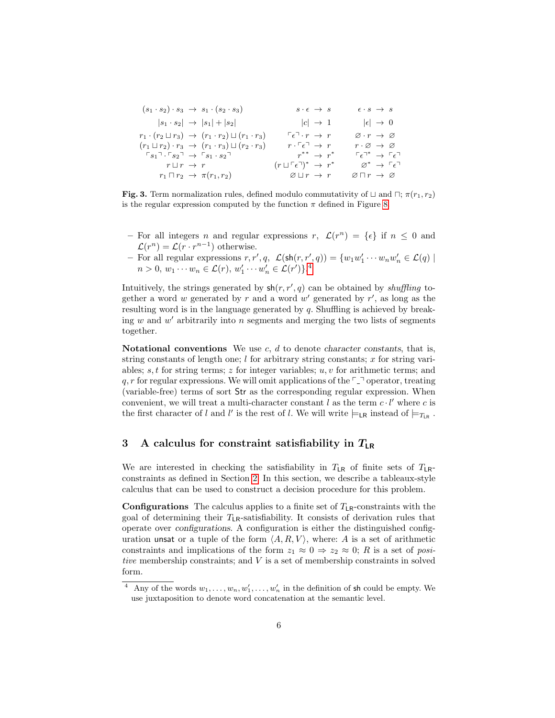| $(s_1 \cdot s_2) \cdot s_3 \rightarrow s_1 \cdot (s_2 \cdot s_3)$                |                                                                                 | $s\cdot\epsilon\ \rightarrow\ s$                            | $\epsilon \cdot s\ \rightarrow\ s$                                        |
|----------------------------------------------------------------------------------|---------------------------------------------------------------------------------|-------------------------------------------------------------|---------------------------------------------------------------------------|
| $ s_1 \tcdot s_2  \to  s_1  +  s_2 $                                             |                                                                                 | $ c  \rightarrow 1$                                         | $ \epsilon  \rightarrow 0$                                                |
|                                                                                  | $r_1 \cdot (r_2 \sqcup r_3) \rightarrow (r_1 \cdot r_2) \sqcup (r_1 \cdot r_3)$ | $\ulcorner\epsilon\urcorner\cdot r\;\rightarrow\;r$         | $\varnothing\cdot r\ \to\ \varnothing$                                    |
|                                                                                  | $(r_1 \sqcup r_2) \cdot r_3 \rightarrow (r_1 \cdot r_3) \sqcup (r_2 \cdot r_3)$ | $r \cdot \ulcorner \epsilon \urcorner \rightarrow r$        | $r\cdot\varnothing\;\rightarrow\;\varnothing$                             |
| $s_1$ <sup>-</sup> $s_2$ <sup>-</sup> $\rightarrow$ $s_1 \cdot s_2$ <sup>-</sup> |                                                                                 | $r^{**} \rightarrow r^*$                                    | $\ulcorner \epsilon \urcorner^* \rightarrow \ulcorner \epsilon \urcorner$ |
| $r \sqcup r \rightarrow r$                                                       |                                                                                 | $(r \sqcup \ulcorner \epsilon \urcorner)^* \rightarrow r^*$ | $\varnothing^* \to \ulcorner \epsilon \urcorner$                          |
| $r_1 \sqcap r_2 \rightarrow \pi(r_1, r_2)$                                       |                                                                                 | $\varnothing \sqcup r \rightarrow r$                        | $\varnothing \sqcap r \rightarrow \varnothing$                            |

<span id="page-5-1"></span>Fig. 3. Term normalization rules, defined modulo commutativity of  $\sqcup$  and  $\sqcap$ ;  $\pi(r_1, r_2)$ is the regular expression computed by the function  $\pi$  defined in Figure [8.](#page-9-0)

- For all integers n and regular expressions  $r, \mathcal{L}(r^n) = {\epsilon}$  if  $n \leq 0$  and  $\mathcal{L}(r^n) = \mathcal{L}(r \cdot r^{n-1})$  otherwise.
- For all regular expressions  $r, r', q, \mathcal{L}(\text{sh}(r, r', q)) = \{w_1 w'_1 \cdots w_n w'_n \in \mathcal{L}(q) \mid$  $n > 0, w_1 \cdots w_n \in \mathcal{L}(r), w'_1 \cdots w'_n \in \mathcal{L}(r')\}$ .<sup>[4](#page-5-0)</sup>

Intuitively, the strings generated by  $\mathsf{sh}(r, r', q)$  can be obtained by *shuffling* together a word w generated by r and a word w' generated by  $r'$ , as long as the resulting word is in the language generated by  $q$ . Shuffling is achieved by breaking  $w$  and  $w'$  arbitrarily into  $n$  segments and merging the two lists of segments together.

Notational conventions We use  $c, d$  to denote character constants, that is, string constants of length one;  $l$  for arbitrary string constants;  $x$  for string variables; s, t for string terms; z for integer variables;  $u, v$  for arithmetic terms; and q, r for regular expressions. We will omit applications of the  $\ulcorner$   $\urcorner$  operator, treating (variable-free) terms of sort Str as the corresponding regular expression. When convenient, we will treat a multi-character constant  $l$  as the term  $c \cdot l'$  where  $c$  is the first character of l and l' is the rest of l. We will write  $\models_{\mathsf{LR}}$  instead of  $\models_{T_{\mathsf{LR}}}$ .

# 3 A calculus for constraint satisfiability in  $T_{LR}$

We are interested in checking the satisfiability in  $T_{LR}$  of finite sets of  $T_{LR}$ constraints as defined in Section [2.](#page-3-0) In this section, we describe a tableaux-style calculus that can be used to construct a decision procedure for this problem.

**Configurations** The calculus applies to a finite set of  $T_{LR}$ -constraints with the goal of determining their  $T_{LR}$ -satisfiability. It consists of derivation rules that operate over configurations. A configuration is either the distinguished configuration unsat or a tuple of the form  $\langle A, R, V \rangle$ , where: A is a set of arithmetic constraints and implications of the form  $z_1 \approx 0 \Rightarrow z_2 \approx 0$ ; R is a set of positive membership constraints; and V is a set of membership constraints in solved form.

<span id="page-5-0"></span><sup>&</sup>lt;sup>4</sup> Any of the words  $w_1, \ldots, w_n, w'_1, \ldots, w'_n$  in the definition of sh could be empty. We use juxtaposition to denote word concatenation at the semantic level.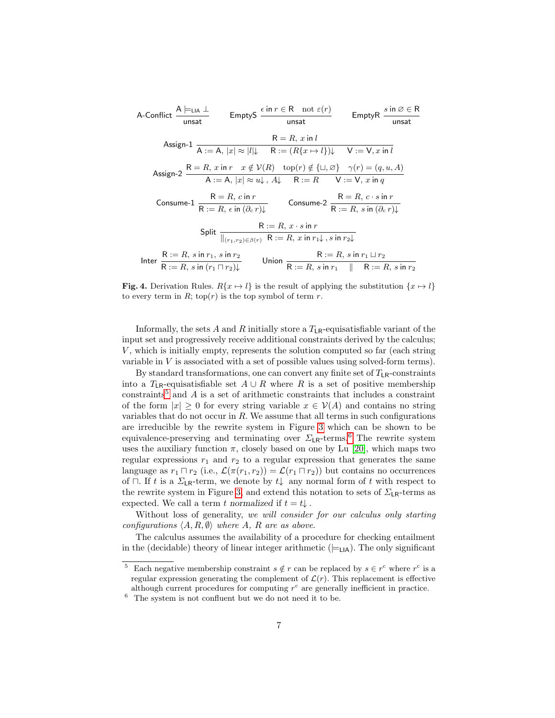| A-Conflict $\frac{A \models_{\text{LIA}} \bot}{\text{unsat}}$                                                                                                                                                                    | EmptyS $\frac{\epsilon \text{ in } r \in \mathsf{R} \mod \epsilon(r)}{\text{unsat}}$ EmptyR $\frac{s \text{ in } \varnothing \in \mathsf{R}}{\text{unsat}}$                                                                                                                                                               |                 |                                                                                                                    |  |  |
|----------------------------------------------------------------------------------------------------------------------------------------------------------------------------------------------------------------------------------|---------------------------------------------------------------------------------------------------------------------------------------------------------------------------------------------------------------------------------------------------------------------------------------------------------------------------|-----------------|--------------------------------------------------------------------------------------------------------------------|--|--|
|                                                                                                                                                                                                                                  |                                                                                                                                                                                                                                                                                                                           |                 |                                                                                                                    |  |  |
|                                                                                                                                                                                                                                  | Assign-1 $\overline{A := A,  x  \approx  l }$ $\overline{R := (R\{x \mapsto l\})}$ $V := V, x$ in l                                                                                                                                                                                                                       | $R = R, x$ in l |                                                                                                                    |  |  |
|                                                                                                                                                                                                                                  | $\begin{array}{lll} \text{Assign-2}\end{array}\frac{\mathsf{R}=R,\,x\,\text{in}\,r\quad x\notin\mathcal{V}(R)\quad\text{top}(r)\notin\{\sqcup,\varnothing\}\quad\gamma(r)=(q,u,A)}{\mathsf{A}:=\mathsf{A},\, x \approx u\!\!\downarrow,\,A\!\!\downarrow\quad\mathsf{R}:=R\quad\mathsf{V}:=\mathsf{V},\,x\,\text{in}\,q}$ |                 |                                                                                                                    |  |  |
|                                                                                                                                                                                                                                  | Consume-1 $\frac{R = R, c \text{ in } r}{R := R, \epsilon \text{ in } (\partial_c r) \downarrow}$ Consume-2 $\frac{R = R, c \cdot s \text{ in } r}{R := R, s \text{ in } (\partial_c r) \downarrow}$                                                                                                                      |                 |                                                                                                                    |  |  |
| $\begin{array}{c} \mathsf{Split}\ \frac{\mathsf{R}:=R,\,x\cdot s\;\mathsf{in}\,r}{\ _{(r_1,r_2)\in\beta(r)}\;\mathsf{R}:=R,\,x\;\mathsf{in}\,r_1\hspace{-1mm}\downarrow,s\;\mathsf{in}\,r_2\hspace{-1mm}\downarrow} \end{array}$ |                                                                                                                                                                                                                                                                                                                           |                 |                                                                                                                    |  |  |
| Inter $\frac{R := R$ , s in $r_1$ , s in $r_2$<br>$R := R$ , s in $(r_1 \sqcap r_2)$                                                                                                                                             |                                                                                                                                                                                                                                                                                                                           |                 | Union $\frac{R := R, s \text{ in } r_1 \sqcup r_2}{R := R, s \text{ in } r_1 \parallel R := R, s \text{ in } r_2}$ |  |  |

<span id="page-6-2"></span>**Fig. 4.** Derivation Rules.  $R\{x \mapsto l\}$  is the result of applying the substitution  $\{x \mapsto l\}$ to every term in R; top(r) is the top symbol of term r.

Informally, the sets A and R initially store a  $T_{LR}$ -equisatisfiable variant of the input set and progressively receive additional constraints derived by the calculus;  $V$ , which is initially empty, represents the solution computed so far (each string variable in V is associated with a set of possible values using solved-form terms).

By standard transformations, one can convert any finite set of  $T_{LR}$ -constraints into a  $T_{LR}$ -equisatisfiable set  $A \cup R$  where R is a set of positive membership constraints<sup>[5](#page-6-0)</sup> and  $\hat{A}$  is a set of arithmetic constraints that includes a constraint of the form  $|x| \geq 0$  for every string variable  $x \in V(A)$  and contains no string variables that do not occur in  $R$ . We assume that all terms in such configurations are irreducible by the rewrite system in Figure [3](#page-5-1) which can be shown to be equivalence-preserving and terminating over  $\Sigma_{LR}$ -terms.<sup>[6](#page-6-1)</sup> The rewrite system uses the auxiliary function  $\pi$ , closely based on one by Lu [\[20\]](#page-14-13), which maps two regular expressions  $r_1$  and  $r_2$  to a regular expression that generates the same language as  $r_1 \sqcap r_2$  (i.e.,  $\mathcal{L}(\pi(r_1, r_2)) = \mathcal{L}(r_1 \sqcap r_2)$ ) but contains no occurrences of  $\Box$ . If t is a  $\Sigma_{LR}$ -term, we denote by  $t\downarrow$  any normal form of t with respect to the rewrite system in Figure [3,](#page-5-1) and extend this notation to sets of  $\Sigma_{LR}$ -terms as expected. We call a term t normalized if  $t = t\downarrow$ .

Without loss of generality, we will consider for our calculus only starting configurations  $\langle A, R, \emptyset \rangle$  where A, R are as above.

The calculus assumes the availability of a procedure for checking entailment in the (decidable) theory of linear integer arithmetic  $(\models_{\mathsf{LIA}})$ . The only significant

<span id="page-6-0"></span><sup>&</sup>lt;sup>5</sup> Each negative membership constraint  $s \notin r$  can be replaced by  $s \in r^c$  where  $r^c$  is a regular expression generating the complement of  $\mathcal{L}(r)$ . This replacement is effective although current procedures for computing  $r^c$  are generally inefficient in practice.

<span id="page-6-1"></span> $6$  The system is not confluent but we do not need it to be.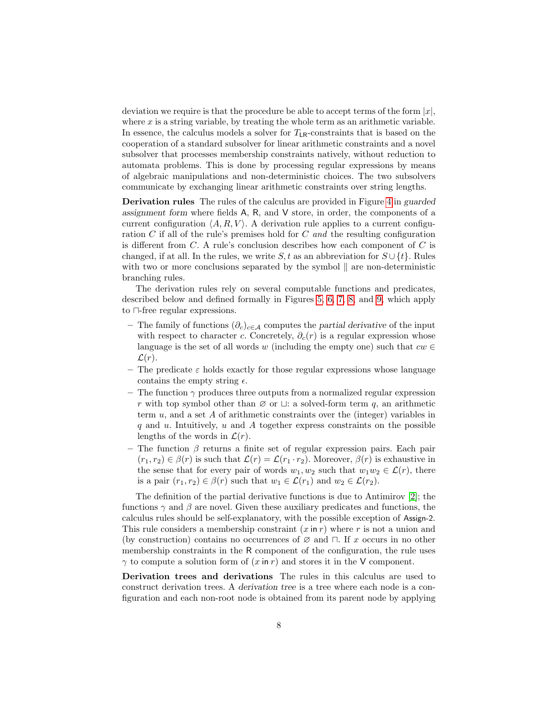deviation we require is that the procedure be able to accept terms of the form  $|x|$ , where  $x$  is a string variable, by treating the whole term as an arithmetic variable. In essence, the calculus models a solver for  $T_{LR}$ -constraints that is based on the cooperation of a standard subsolver for linear arithmetic constraints and a novel subsolver that processes membership constraints natively, without reduction to automata problems. This is done by processing regular expressions by means of algebraic manipulations and non-deterministic choices. The two subsolvers communicate by exchanging linear arithmetic constraints over string lengths.

Derivation rules The rules of the calculus are provided in Figure [4](#page-6-2) in guarded assignment form where fields A, R, and V store, in order, the components of a current configuration  $\langle A, R, V \rangle$ . A derivation rule applies to a current configuration  $C$  if all of the rule's premises hold for  $C$  and the resulting configuration is different from  $C$ . A rule's conclusion describes how each component of  $C$  is changed, if at all. In the rules, we write  $S, t$  as an abbreviation for  $S \cup \{t\}$ . Rules with two or more conclusions separated by the symbol  $\parallel$  are non-deterministic branching rules.

The derivation rules rely on several computable functions and predicates, described below and defined formally in Figures [5,](#page-8-0) [6,](#page-8-1) [7,](#page-9-1) [8,](#page-9-0) and [9,](#page-10-0) which apply to  $\Box$ -free regular expressions.

- The family of functions  $(\partial_c)_{c\in\mathcal{A}}$  computes the partial derivative of the input with respect to character c. Concretely,  $\partial_c(r)$  is a regular expression whose language is the set of all words w (including the empty one) such that  $cw \in$  $\mathcal{L}(r)$ .
- The predicate  $\varepsilon$  holds exactly for those regular expressions whose language contains the empty string  $\epsilon$ .
- The function  $\gamma$  produces three outputs from a normalized regular expression r with top symbol other than  $\varnothing$  or  $\sqcup$ : a solved-form term q, an arithmetic term  $u$ , and a set A of arithmetic constraints over the (integer) variables in q and u. Intuitively, u and A together express constraints on the possible lengths of the words in  $\mathcal{L}(r)$ .
- The function β returns a finite set of regular expression pairs. Each pair  $(r_1, r_2) \in \beta(r)$  is such that  $\mathcal{L}(r) = \mathcal{L}(r_1 \cdot r_2)$ . Moreover,  $\beta(r)$  is exhaustive in the sense that for every pair of words  $w_1, w_2$  such that  $w_1w_2 \in \mathcal{L}(r)$ , there is a pair  $(r_1, r_2) \in \beta(r)$  such that  $w_1 \in \mathcal{L}(r_1)$  and  $w_2 \in \mathcal{L}(r_2)$ .

The definition of the partial derivative functions is due to Antimirov [\[2\]](#page-13-5); the functions  $\gamma$  and  $\beta$  are novel. Given these auxiliary predicates and functions, the calculus rules should be self-explanatory, with the possible exception of Assign-2. This rule considers a membership constraint  $(x \text{ in } r)$  where r is not a union and (by construction) contains no occurrences of  $\varnothing$  and  $\Box$ . If x occurs in no other membership constraints in the R component of the configuration, the rule uses  $\gamma$  to compute a solution form of  $(x \text{ in } r)$  and stores it in the V component.

Derivation trees and derivations The rules in this calculus are used to construct derivation trees. A derivation tree is a tree where each node is a configuration and each non-root node is obtained from its parent node by applying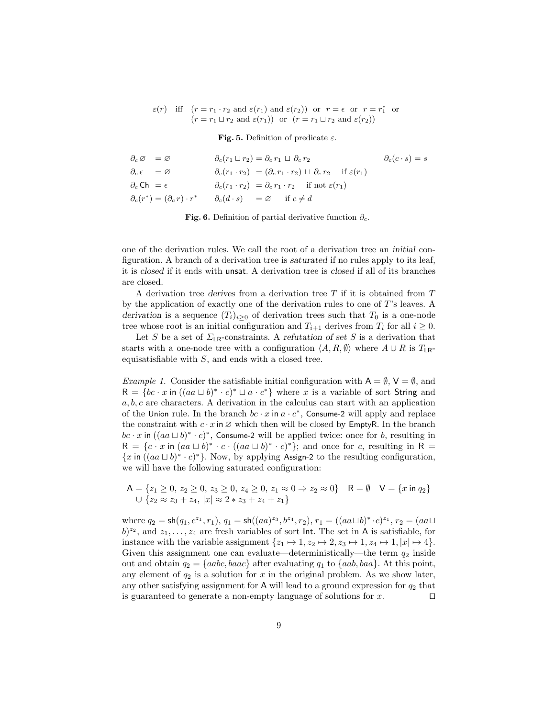$\varepsilon(r)$  iff  $(r = r_1 \cdot r_2 \text{ and } \varepsilon(r_1) \text{ and } \varepsilon(r_2)$  or  $r = \epsilon$  or  $r = r_1^*$  or  $(r = r_1 \sqcup r_2 \text{ and } \varepsilon(r_1))$  or  $(r = r_1 \sqcup r_2 \text{ and } \varepsilon(r_2))$ 

<span id="page-8-0"></span>**Fig. 5.** Definition of predicate  $\varepsilon$ .

| $\partial_c \varnothing = \varnothing$       | $\partial_c(r_1\sqcup r_2)=\partial_c r_1\sqcup \partial_c r_2$                                      | $\partial_c(c \cdot s) = s$ |
|----------------------------------------------|------------------------------------------------------------------------------------------------------|-----------------------------|
| $\partial_{c} \epsilon = \varnothing$        | $\partial_c(r_1 \cdot r_2) = (\partial_c r_1 \cdot r_2) \sqcup \partial_c r_2$ if $\varepsilon(r_1)$ |                             |
| $\partial_c$ Ch = $\epsilon$                 | $\partial_c(r_1 \cdot r_2) = \partial_c r_1 \cdot r_2$ if not $\varepsilon(r_1)$                     |                             |
| $\partial_c(r^*) = (\partial_c r) \cdot r^*$ | $\partial_c(d \cdot s) = \varnothing$ if $c \neq d$                                                  |                             |

<span id="page-8-1"></span>Fig. 6. Definition of partial derivative function  $\partial_c$ .

one of the derivation rules. We call the root of a derivation tree an initial configuration. A branch of a derivation tree is saturated if no rules apply to its leaf, it is closed if it ends with unsat. A derivation tree is closed if all of its branches are closed.

A derivation tree derives from a derivation tree T if it is obtained from T by the application of exactly one of the derivation rules to one of T's leaves. A derivation is a sequence  $(T_i)_{i>0}$  of derivation trees such that  $T_0$  is a one-node tree whose root is an initial configuration and  $T_{i+1}$  derives from  $T_i$  for all  $i \geq 0$ .

Let S be a set of  $\Sigma_{LR}$ -constraints. A refutation of set S is a derivation that starts with a one-node tree with a configuration  $\langle A, R, \emptyset \rangle$  where  $A \cup R$  is  $T_{LR}$ equisatisfiable with S, and ends with a closed tree.

Example 1. Consider the satisfiable initial configuration with  $A = \emptyset$ ,  $V = \emptyset$ , and  $R = \{bc \cdot x \text{ in } ((aa \sqcup b)^* \cdot c)^* \sqcup a \cdot c^* \}$  where x is a variable of sort String and  $a, b, c$  are characters. A derivation in the calculus can start with an application of the Union rule. In the branch  $bc \cdot x$  in  $a \cdot c^*$ , Consume-2 will apply and replace the constraint with  $c \cdot x$  in  $\varnothing$  which then will be closed by EmptyR. In the branch  $bc \cdot x$  in  $((aa \sqcup b)^* \cdot c)^*$ , Consume-2 will be applied twice: once for b, resulting in  $R = \{c \cdot x \text{ in } (aa \sqcup b)^* \cdot c \cdot ((aa \sqcup b)^* \cdot c)^* \}; \text{ and once for } c, \text{ resulting in } R =$  ${x \in (aa \sqcup b)^* \cdot c}$ . Now, by applying Assign-2 to the resulting configuration, we will have the following saturated configuration:

$$
A = \{z_1 \ge 0, z_2 \ge 0, z_3 \ge 0, z_4 \ge 0, z_1 \approx 0 \Rightarrow z_2 \approx 0\} \quad R = \emptyset \quad V = \{x \text{ in } q_2\}
$$
  

$$
\cup \{z_2 \approx z_3 + z_4, |x| \approx 2 \times z_3 + z_4 + z_1\}
$$

where  $q_2 = \mathsf{sh}(q_1, c^{z_1}, r_1), q_1 = \mathsf{sh}((aa)^{z_3}, b^{z_4}, r_2), r_1 = ((aa \sqcup b)^* \cdot c)^{z_1}, r_2 = (aa \sqcup$  $(b)^{z_2}$ , and  $z_1, \ldots, z_4$  are fresh variables of sort lnt. The set in A is satisfiable, for instance with the variable assignment  $\{z_1 \mapsto 1, z_2 \mapsto 2, z_3 \mapsto 1, z_4 \mapsto 1, |x| \mapsto 4\}.$ Given this assignment one can evaluate—deterministically—the term  $q_2$  inside out and obtain  $q_2 = \{aabc, baac\}$  after evaluating  $q_1$  to  $\{aab, baa\}$ . At this point, any element of  $q_2$  is a solution for x in the original problem. As we show later, any other satisfying assignment for  $A$  will lead to a ground expression for  $q_2$  that is guaranteed to generate a non-empty language of solutions for  $x$ .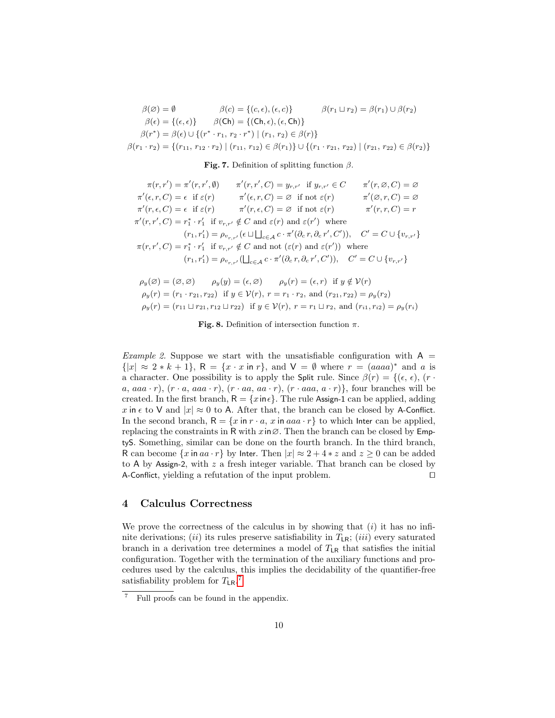$\beta(\emptyset) = \emptyset$   $\beta(c) = \{(c, \epsilon), (\epsilon, c)\}$   $\beta(r_1 \sqcup r_2) = \beta(r_1) \cup \beta(r_2)$  $\beta(\epsilon) = \{(\epsilon, \epsilon)\}\$   $\beta(\text{Ch}) = \{(\text{Ch}, \epsilon), (\epsilon, \text{Ch})\}\$  $\beta(r^*) = \beta(\epsilon) \cup \{(r^* \cdot r_1, r_2 \cdot r^*) | (r_1, r_2) \in \beta(r)\}\$  $\beta(r_1 \cdot r_2) = \{(r_{11}, r_{12} \cdot r_2) \mid (r_{11}, r_{12}) \in \beta(r_1)\} \cup \{(r_1 \cdot r_{21}, r_{22}) \mid (r_{21}, r_{22}) \in \beta(r_2)\}\$ 

<span id="page-9-1"></span>Fig. 7. Definition of splitting function  $\beta$ .

$$
\pi(r,r') = \pi'(r,r',\emptyset) \qquad \pi'(r,r',C) = y_{r,r'} \text{ if } y_{r,r'} \in C \qquad \pi'(r,\emptyset,C) = \emptyset
$$
  
\n
$$
\pi'(\epsilon,r,C) = \epsilon \text{ if } \varepsilon(r) \qquad \pi'(\epsilon,r,C) = \emptyset \text{ if not } \varepsilon(r) \qquad \pi'(\emptyset,r,C) = \emptyset
$$
  
\n
$$
\pi'(r,\epsilon,C) = \epsilon \text{ if } \varepsilon(r) \qquad \pi'(r,\epsilon,C) = \emptyset \text{ if not } \varepsilon(r) \qquad \pi'(r,r,C) = r
$$
  
\n
$$
\pi'(r,r',C) = r_1^* \cdot r_1' \text{ if } v_{r,r'} \notin C \text{ and } \varepsilon(r) \text{ and } \varepsilon(r') \text{ where}
$$
  
\n
$$
(r_1,r_1') = \rho_{v_{r,r'}}(\epsilon \sqcup \bigsqcup_{c \in \mathcal{A}} c \cdot \pi'(\partial_c r, \partial_c r', C')), \qquad C' = C \cup \{v_{r,r'}\}
$$
  
\n
$$
\pi(r,r',C) = r_1^* \cdot r_1' \text{ if } v_{r,r'} \notin C \text{ and not } (\varepsilon(r) \text{ and } \varepsilon(r')) \text{ where}
$$
  
\n
$$
(r_1,r_1') = \rho_{v_{r,r'}}(\bigsqcup_{c \in \mathcal{A}} c \cdot \pi'(\partial_c r, \partial_c r', C')), \qquad C' = C \cup \{v_{r,r'}\}
$$

 $\rho_y(\varnothing) = (\varnothing, \varnothing)$   $\rho_y(y) = (\epsilon, \varnothing)$   $\rho_y(r) = (\epsilon, r)$  if  $y \notin \mathcal{V}(r)$  $\rho_y(r) = (r_1 \cdot r_{21}, r_{22})$  if  $y \in V(r)$ ,  $r = r_1 \cdot r_2$ , and  $(r_{21}, r_{22}) = \rho_y(r_2)$  $\rho_y(r) = (r_{11} \sqcup r_{21}, r_{12} \sqcup r_{22})$  if  $y \in V(r)$ ,  $r = r_1 \sqcup r_2$ , and  $(r_{i1}, r_{i2}) = \rho_y(r_i)$ 

<span id="page-9-0"></span>Fig. 8. Definition of intersection function  $\pi$ .

*Example 2.* Suppose we start with the unsatisfiable configuration with  $A =$  $\{|x| \approx 2 * k + 1\}$ ,  $\mathsf{R} = \{x \cdot x \text{ in } r\}$ , and  $\mathsf{V} = \emptyset$  where  $r = (aaaa)^*$  and a is a character. One possibility is to apply the Split rule. Since  $\beta(r) = \{(\epsilon, \epsilon), (r \cdot \epsilon)\}$ a, aaa · r),  $(r \cdot a, aaa \cdot r)$ ,  $(r \cdot aa, aa \cdot r)$ ,  $(r \cdot aaa, a \cdot r)$ , four branches will be created. In the first branch,  $R = \{x \in \mathbb{R}^n : R \in \mathbb{R}^n : R \in \mathbb{R}^n : R \neq \emptyset\}$  and be applied, adding x in  $\epsilon$  to V and  $|x| \approx 0$  to A. After that, the branch can be closed by A-Conflict. In the second branch,  $R = \{x \text{ in } r \cdot a, x \text{ in } aaa \cdot r\}$  to which Inter can be applied, replacing the constraints in R with  $x \in \mathcal{O}$ . Then the branch can be closed by EmptyS. Something, similar can be done on the fourth branch. In the third branch, R can become  $\{x \in a \cdot r\}$  by Inter. Then  $|x| \approx 2 + 4 * z$  and  $z \ge 0$  can be added to A by Assign-2, with  $z$  a fresh integer variable. That branch can be closed by A-Conflict, yielding a refutation of the input problem.  $\Box$ 

# 4 Calculus Correctness

We prove the correctness of the calculus in by showing that  $(i)$  it has no infinite derivations; *(ii)* its rules preserve satisfiability in  $T_{LR}$ ; *(iii)* every saturated branch in a derivation tree determines a model of  $T_{LR}$  that satisfies the initial configuration. Together with the termination of the auxiliary functions and procedures used by the calculus, this implies the decidability of the quantifier-free satisfiability problem for  $T_{LR}$ .<sup>[7](#page-9-2)</sup>

<span id="page-9-2"></span><sup>7</sup> Full proofs can be found in the appendix.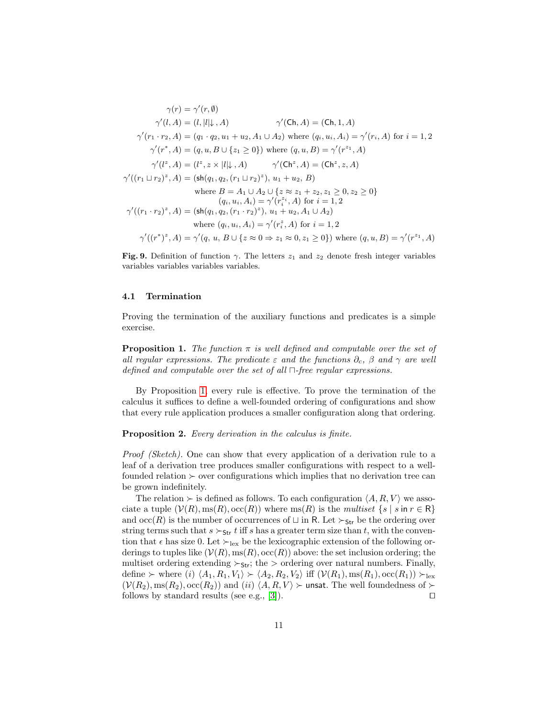$$
\gamma(r) = \gamma'(r, \emptyset)
$$
  
\n
$$
\gamma'(l, A) = (l, |l|, A) \qquad \gamma'(Ch, A) = (Ch, 1, A)
$$
  
\n
$$
\gamma'(r_1 \cdot r_2, A) = (q_1 \cdot q_2, u_1 + u_2, A_1 \cup A_2) \text{ where } (q_i, u_i, A_i) = \gamma'(r_i, A) \text{ for } i = 1, 2
$$
  
\n
$$
\gamma'(r^*, A) = (q, u, B \cup \{z_1 \ge 0\}) \text{ where } (q, u, B) = \gamma'(r^{z_1}, A)
$$
  
\n
$$
\gamma'(l^z, A) = (l^z, z \times |l|, A) \qquad \gamma'(Ch^z, A) = (Ch^z, z, A)
$$
  
\n
$$
\gamma'((r_1 \cup r_2)^z, A) = (\text{sh}(q_1, q_2, (r_1 \cup r_2)^z), u_1 + u_2, B)
$$
  
\nwhere  $B = A_1 \cup A_2 \cup \{z \approx z_1 + z_2, z_1 \ge 0, z_2 \ge 0\}$   
\n
$$
(q_i, u_i, A_i) = \gamma'(r_i^{z_i}, A) \text{ for } i = 1, 2
$$
  
\n
$$
\gamma'((r_1 \cdot r_2)^z, A) = (\text{sh}(q_1, q_2, (r_1 \cdot r_2)^z), u_1 + u_2, A_1 \cup A_2)
$$
  
\nwhere  $(q_i, u_i, A_i) = \gamma'(r_i^z, A) \text{ for } i = 1, 2$   
\n
$$
\gamma'((r^*)^z, A) = \gamma'(q, u, B \cup \{z \approx 0 \Rightarrow z_1 \approx 0, z_1 \ge 0\}) \text{ where } (q, u, B) = \gamma'(r^{z_1}, A)
$$

<span id="page-10-0"></span>Fig. 9. Definition of function  $\gamma$ . The letters  $z_1$  and  $z_2$  denote fresh integer variables variables variables variables variables.

#### 4.1 Termination

Proving the termination of the auxiliary functions and predicates is a simple exercise.

<span id="page-10-1"></span>**Proposition 1.** The function  $\pi$  is well defined and computable over the set of all regular expressions. The predicate  $\varepsilon$  and the functions  $\partial_c$ ,  $\beta$  and  $\gamma$  are well defined and computable over the set of all  $\Box$ -free regular expressions.

By Proposition [1,](#page-10-1) every rule is effective. To prove the termination of the calculus it suffices to define a well-founded ordering of configurations and show that every rule application produces a smaller configuration along that ordering.

#### <span id="page-10-2"></span>Proposition 2. Every derivation in the calculus is finite.

Proof (Sketch). One can show that every application of a derivation rule to a leaf of a derivation tree produces smaller configurations with respect to a wellfounded relation  $\succ$  over configurations which implies that no derivation tree can be grown indefinitely.

The relation  $\succ$  is defined as follows. To each configuration  $\langle A, R, V \rangle$  we associate a tuple  $(\mathcal{V}(R), \text{ms}(R), \text{occ}(R))$  where  $\text{ms}(R)$  is the *multiset*  $\{s \mid s \text{ in } r \in \mathbb{R}\}\$ and  $\operatorname{occ}(R)$  is the number of occurrences of  $\sqcup$  in R. Let  $\succ_{\mathsf{Str}}$  be the ordering over string terms such that  $s \succ_{\mathsf{Str}} t$  iff s has a greater term size than t, with the convention that  $\epsilon$  has size 0. Let  $\succ_{\text{lex}}$  be the lexicographic extension of the following orderings to tuples like  $(V(R), \text{ms}(R), \text{occ}(R))$  above: the set inclusion ordering; the multiset ordering extending  $\succ_{Str}$ ; the  $>$  ordering over natural numbers. Finally, define  $\succ$  where (i)  $\langle A_1, R_1, V_1 \rangle \succ \langle A_2, R_2, V_2 \rangle$  iff  $(\mathcal{V}(R_1), \text{ms}(R_1), \text{occ}(R_1)) \succ_{\text{lex}}$  $(V(R_2), \text{ms}(R_2), \text{occ}(R_2))$  and  $(ii) \langle A, R, V \rangle \rangle$  unsat. The well foundedness of  $\succ$ follows by standard results (see e.g., [\[3\]](#page-13-6)).  $\square$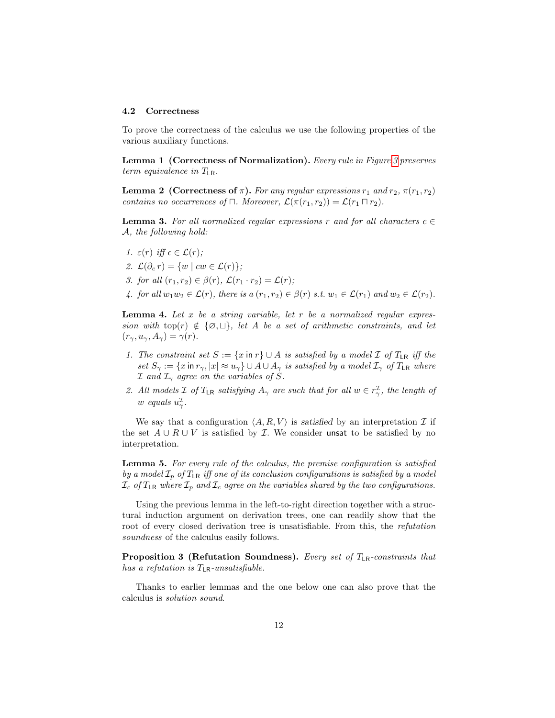#### 4.2 Correctness

To prove the correctness of the calculus we use the following properties of the various auxiliary functions.

<span id="page-11-2"></span>Lemma 1 (Correctness of Normalization). Every rule in Figure [3](#page-5-1) preserves term equivalence in  $T_{LR}$ .

<span id="page-11-3"></span>**Lemma 2** (Correctness of  $\pi$ ). For any regular expressions  $r_1$  and  $r_2$ ,  $\pi(r_1, r_2)$ contains no occurrences of  $\Box$ . Moreover,  $\mathcal{L}(\pi(r_1, r_2)) = \mathcal{L}(r_1 \Box r_2)$ .

<span id="page-11-5"></span>**Lemma 3.** For all normalized regular expressions r and for all characters  $c \in \mathbb{R}$ A, the following hold:

- 1.  $\varepsilon(r)$  iff  $\epsilon \in \mathcal{L}(r)$ ;
- 2.  $\mathcal{L}(\partial_c r) = \{w \mid cw \in \mathcal{L}(r)\};$
- 3. for all  $(r_1, r_2) \in \beta(r)$ ,  $\mathcal{L}(r_1 \cdot r_2) = \mathcal{L}(r)$ ;
- 4. for all  $w_1w_2 \in \mathcal{L}(r)$ , there is a  $(r_1, r_2) \in \beta(r)$  s.t.  $w_1 \in \mathcal{L}(r_1)$  and  $w_2 \in \mathcal{L}(r_2)$ .

<span id="page-11-0"></span>**Lemma 4.** Let  $x$  be a string variable, let  $r$  be a normalized regular expression with top(r)  $\notin \{\emptyset, \sqcup\}$ , let A be a set of arithmetic constraints, and let  $(r_{\gamma}, u_{\gamma}, A_{\gamma}) = \gamma(r).$ 

- 1. The constraint set  $S := \{x \text{ in } r\} \cup A$  is satisfied by a model  $\mathcal I$  of  $T_{LR}$  iff the set  $S_{\gamma} := \{x \text{ in } r_{\gamma}, |x| \approx u_{\gamma}\} \cup A \cup A_{\gamma}$  is satisfied by a model  $\mathcal{I}_{\gamma}$  of  $T_{LR}$  where *I* and  $I_{\gamma}$  agree on the variables of S.
- <span id="page-11-1"></span>2. All models  $\mathcal I$  of  $T_{\mathsf{LR}}$  satisfying  $A_\gamma$  are such that for all  $w \in r_\gamma^{\mathcal I}$ , the length of w equals  $u_{\gamma}^{\mathcal{I}}$ .

We say that a configuration  $\langle A, R, V \rangle$  is satisfied by an interpretation  $\mathcal I$  if the set  $A \cup R \cup V$  is satisfied by *I*. We consider unsat to be satisfied by no interpretation.

<span id="page-11-6"></span>Lemma 5. For every rule of the calculus, the premise configuration is satisfied by a model  $\mathcal{I}_p$  of  $T_{LR}$  iff one of its conclusion configurations is satisfied by a model  $\mathcal{I}_c$  of  $T_{LR}$  where  $\mathcal{I}_p$  and  $\mathcal{I}_c$  agree on the variables shared by the two configurations.

Using the previous lemma in the left-to-right direction together with a structural induction argument on derivation trees, one can readily show that the root of every closed derivation tree is unsatisfiable. From this, the *refutation* soundness of the calculus easily follows.

<span id="page-11-4"></span>**Proposition 3 (Refutation Soundness).** Every set of  $T_{LR}$ -constraints that has a refutation is  $T_{LR}$ -unsatisfiable.

<span id="page-11-7"></span>Thanks to earlier lemmas and the one below one can also prove that the calculus is solution sound.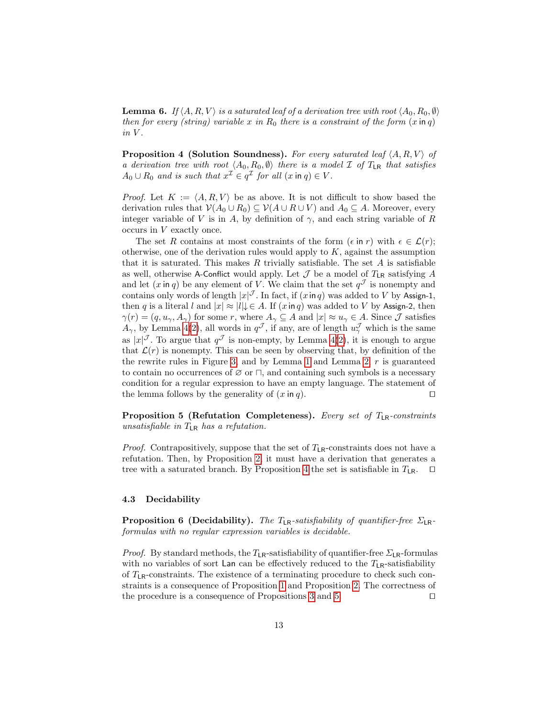**Lemma 6.** If  $\langle A, R, V \rangle$  is a saturated leaf of a derivation tree with root  $\langle A_0, R_0, \emptyset \rangle$ then for every (string) variable x in  $R_0$  there is a constraint of the form  $(x \text{ in } q)$  $in V$ .

<span id="page-12-0"></span>**Proposition 4 (Solution Soundness).** For every saturated leaf  $\langle A, R, V \rangle$  of a derivation tree with root  $\langle A_0, R_0, \emptyset \rangle$  there is a model  $\mathcal I$  of  $T_{LR}$  that satisfies  $A_0 \cup R_0$  and is such that  $x^{\mathcal{I}} \in q^{\mathcal{I}}$  for all  $(x \text{ in } q) \in V$ .

*Proof.* Let  $K := \langle A, R, V \rangle$  be as above. It is not difficult to show based the derivation rules that  $\mathcal{V}(A_0 \cup R_0) \subseteq \mathcal{V}(A \cup R \cup V)$  and  $A_0 \subseteq A$ . Moreover, every integer variable of V is in A, by definition of  $\gamma$ , and each string variable of R occurs in V exactly once.

The set R contains at most constraints of the form  $(\epsilon \text{ in } r)$  with  $\epsilon \in \mathcal{L}(r);$ otherwise, one of the derivation rules would apply to  $K$ , against the assumption that it is saturated. This makes  $R$  trivially satisfiable. The set  $A$  is satisfiable as well, otherwise A-Conflict would apply. Let  $\mathcal J$  be a model of  $T_{LR}$  satisfying A and let  $(x \text{ in } q)$  be any element of V. We claim that the set  $q^{\mathcal{J}}$  is nonempty and contains only words of length  $|x|^{\mathcal{J}}$ . In fact, if  $(x \text{ in } q)$  was added to V by Assign-1, then q is a literal l and  $|x| \approx |l| \downarrow \in A$ . If  $(x \text{ in } q)$  was added to V by Assign-2, then  $\gamma(r) = (q, u_{\gamma}, A_{\gamma})$  for some r, where  $A_{\gamma} \subseteq A$  and  $|x| \approx u_{\gamma} \in A$ . Since J satisfies  $A_{\gamma}$ , by Lemma [4\(](#page-11-0)[2\)](#page-11-1), all words in  $q^{\mathcal{J}}$ , if any, are of length  $u_{\gamma}^{\mathcal{J}}$  which is the same as  $|x|^\mathcal{J}$ . To argue that  $q^\mathcal{J}$  is non-empty, by Lemma [4\(](#page-11-0)[2\)](#page-11-1), it is enough to argue that  $\mathcal{L}(r)$  is nonempty. This can be seen by observing that, by definition of the the rewrite rules in Figure [3,](#page-5-1) and by Lemma [1](#page-11-2) and Lemma [2,](#page-11-3) r is guaranteed to contain no occurrences of  $\varnothing$  or  $\sqcap$ , and containing such symbols is a necessary condition for a regular expression to have an empty language. The statement of the lemma follows by the generality of  $(x \text{ in } q)$ .

<span id="page-12-1"></span>**Proposition 5 (Refutation Completeness).** Every set of  $T_{LR}$ -constraints unsatisfiable in  $T_{LR}$  has a refutation.

*Proof.* Contrapositively, suppose that the set of  $T_{LR}$ -constraints does not have a refutation. Then, by Proposition [2,](#page-10-2) it must have a derivation that generates a tree with a saturated branch. By Proposition [4](#page-12-0) the set is satisfiable in  $T_{LR}$ .  $\Box$ 

#### 4.3 Decidability

**Proposition 6 (Decidability).** The T<sub>LR</sub>-satisfiability of quantifier-free  $\Sigma_{LR}$ formulas with no regular expression variables is decidable.

*Proof.* By standard methods, the  $T_{LR}$ -satisfiability of quantifier-free  $\Sigma_{LR}$ -formulas with no variables of sort Lan can be effectively reduced to the  $T_{LR}$ -satisfiability of  $T_{LR}$ -constraints. The existence of a terminating procedure to check such constraints is a consequence of Proposition [1](#page-10-1) and Proposition [2.](#page-10-2) The correctness of the procedure is a consequence of Propositions [3](#page-11-4) and [5.](#page-12-1)  $\Box$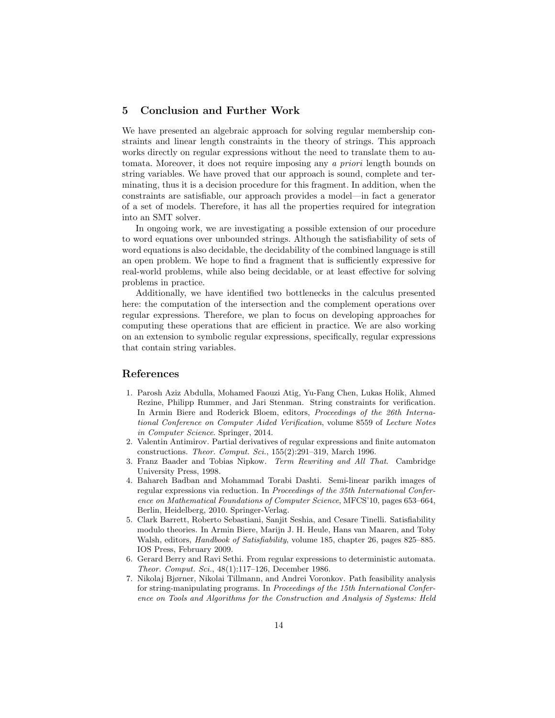# 5 Conclusion and Further Work

We have presented an algebraic approach for solving regular membership constraints and linear length constraints in the theory of strings. This approach works directly on regular expressions without the need to translate them to automata. Moreover, it does not require imposing any a priori length bounds on string variables. We have proved that our approach is sound, complete and terminating, thus it is a decision procedure for this fragment. In addition, when the constraints are satisfiable, our approach provides a model—in fact a generator of a set of models. Therefore, it has all the properties required for integration into an SMT solver.

In ongoing work, we are investigating a possible extension of our procedure to word equations over unbounded strings. Although the satisfiability of sets of word equations is also decidable, the decidability of the combined language is still an open problem. We hope to find a fragment that is sufficiently expressive for real-world problems, while also being decidable, or at least effective for solving problems in practice.

Additionally, we have identified two bottlenecks in the calculus presented here: the computation of the intersection and the complement operations over regular expressions. Therefore, we plan to focus on developing approaches for computing these operations that are efficient in practice. We are also working on an extension to symbolic regular expressions, specifically, regular expressions that contain string variables.

## References

- <span id="page-13-0"></span>1. Parosh Aziz Abdulla, Mohamed Faouzi Atig, Yu-Fang Chen, Lukas Holik, Ahmed Rezine, Philipp Rummer, and Jari Stenman. String constraints for verification. In Armin Biere and Roderick Bloem, editors, Proceedings of the 26th International Conference on Computer Aided Verification, volume 8559 of Lecture Notes in Computer Science. Springer, 2014.
- <span id="page-13-5"></span>2. Valentin Antimirov. Partial derivatives of regular expressions and finite automaton constructions. Theor. Comput. Sci., 155(2):291–319, March 1996.
- <span id="page-13-6"></span>3. Franz Baader and Tobias Nipkow. Term Rewriting and All That. Cambridge University Press, 1998.
- <span id="page-13-3"></span>4. Bahareh Badban and Mohammad Torabi Dashti. Semi-linear parikh images of regular expressions via reduction. In Proceedings of the 35th International Conference on Mathematical Foundations of Computer Science, MFCS'10, pages 653–664, Berlin, Heidelberg, 2010. Springer-Verlag.
- <span id="page-13-4"></span>5. Clark Barrett, Roberto Sebastiani, Sanjit Seshia, and Cesare Tinelli. Satisfiability modulo theories. In Armin Biere, Marijn J. H. Heule, Hans van Maaren, and Toby Walsh, editors, *Handbook of Satisfiability*, volume 185, chapter 26, pages 825–885. IOS Press, February 2009.
- <span id="page-13-2"></span>6. Gerard Berry and Ravi Sethi. From regular expressions to deterministic automata. Theor. Comput. Sci., 48(1):117–126, December 1986.
- <span id="page-13-1"></span>7. Nikolaj Bjørner, Nikolai Tillmann, and Andrei Voronkov. Path feasibility analysis for string-manipulating programs. In Proceedings of the 15th International Conference on Tools and Algorithms for the Construction and Analysis of Systems: Held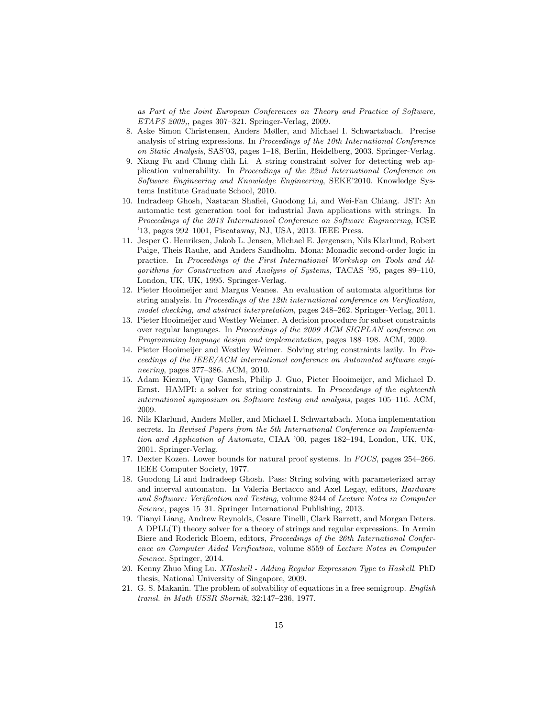as Part of the Joint European Conferences on Theory and Practice of Software, ETAPS 2009,, pages 307–321. Springer-Verlag, 2009.

- <span id="page-14-10"></span>8. Aske Simon Christensen, Anders Møller, and Michael I. Schwartzbach. Precise analysis of string expressions. In Proceedings of the 10th International Conference on Static Analysis, SAS'03, pages 1–18, Berlin, Heidelberg, 2003. Springer-Verlag.
- <span id="page-14-5"></span>9. Xiang Fu and Chung chih Li. A string constraint solver for detecting web application vulnerability. In Proceedings of the 22nd International Conference on Software Engineering and Knowledge Engineering, SEKE'2010. Knowledge Systems Institute Graduate School, 2010.
- <span id="page-14-6"></span>10. Indradeep Ghosh, Nastaran Shafiei, Guodong Li, and Wei-Fan Chiang. JST: An automatic test generation tool for industrial Java applications with strings. In Proceedings of the 2013 International Conference on Software Engineering, ICSE '13, pages 992–1001, Piscataway, NJ, USA, 2013. IEEE Press.
- <span id="page-14-9"></span>11. Jesper G. Henriksen, Jakob L. Jensen, Michael E. Jørgensen, Nils Klarlund, Robert Paige, Theis Rauhe, and Anders Sandholm. Mona: Monadic second-order logic in practice. In Proceedings of the First International Workshop on Tools and Algorithms for Construction and Analysis of Systems, TACAS '95, pages 89–110, London, UK, UK, 1995. Springer-Verlag.
- <span id="page-14-4"></span>12. Pieter Hooimeijer and Margus Veanes. An evaluation of automata algorithms for string analysis. In Proceedings of the 12th international conference on Verification, model checking, and abstract interpretation, pages 248–262. Springer-Verlag, 2011.
- <span id="page-14-2"></span>13. Pieter Hooimeijer and Westley Weimer. A decision procedure for subset constraints over regular languages. In Proceedings of the 2009 ACM SIGPLAN conference on Programming language design and implementation, pages 188–198. ACM, 2009.
- <span id="page-14-3"></span>14. Pieter Hooimeijer and Westley Weimer. Solving string constraints lazily. In Proceedings of the IEEE/ACM international conference on Automated software engineering, pages 377–386. ACM, 2010.
- <span id="page-14-8"></span>15. Adam Kiezun, Vijay Ganesh, Philip J. Guo, Pieter Hooimeijer, and Michael D. Ernst. HAMPI: a solver for string constraints. In Proceedings of the eighteenth international symposium on Software testing and analysis, pages 105–116. ACM, 2009.
- <span id="page-14-11"></span>16. Nils Klarlund, Anders Møller, and Michael I. Schwartzbach. Mona implementation secrets. In Revised Papers from the 5th International Conference on Implementation and Application of Automata, CIAA '00, pages 182–194, London, UK, UK, 2001. Springer-Verlag.
- <span id="page-14-12"></span>17. Dexter Kozen. Lower bounds for natural proof systems. In FOCS, pages 254–266. IEEE Computer Society, 1977.
- <span id="page-14-7"></span>18. Guodong Li and Indradeep Ghosh. Pass: String solving with parameterized array and interval automaton. In Valeria Bertacco and Axel Legay, editors, Hardware and Software: Verification and Testing, volume 8244 of Lecture Notes in Computer Science, pages 15–31. Springer International Publishing, 2013.
- <span id="page-14-0"></span>19. Tianyi Liang, Andrew Reynolds, Cesare Tinelli, Clark Barrett, and Morgan Deters. A DPLL(T) theory solver for a theory of strings and regular expressions. In Armin Biere and Roderick Bloem, editors, Proceedings of the 26th International Conference on Computer Aided Verification, volume 8559 of Lecture Notes in Computer Science. Springer, 2014.
- <span id="page-14-13"></span>20. Kenny Zhuo Ming Lu. XHaskell - Adding Regular Expression Type to Haskell. PhD thesis, National University of Singapore, 2009.
- <span id="page-14-1"></span>21. G. S. Makanin. The problem of solvability of equations in a free semigroup. English transl. in Math USSR Sbornik, 32:147–236, 1977.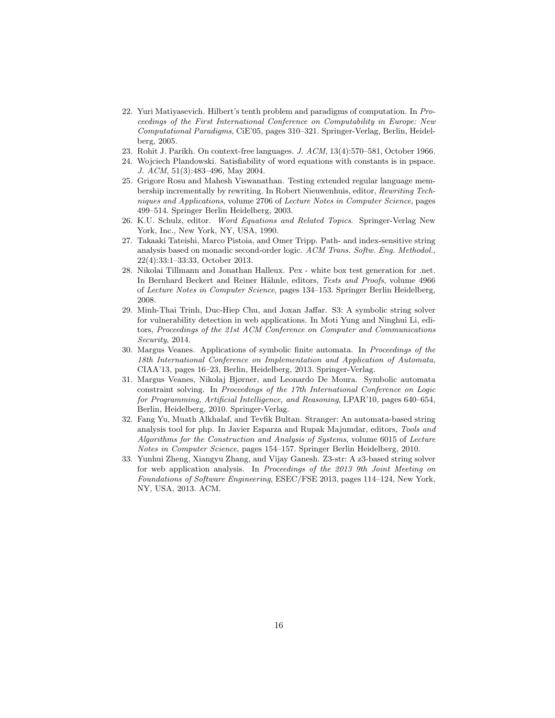- <span id="page-15-2"></span>22. Yuri Matiyasevich. Hilbert's tenth problem and paradigms of computation. In Proceedings of the First International Conference on Computability in Europe: New Computational Paradigms, CiE'05, pages 310–321. Springer-Verlag, Berlin, Heidelberg, 2005.
- <span id="page-15-11"></span>23. Rohit J. Parikh. On context-free languages. J. ACM, 13(4):570–581, October 1966.
- <span id="page-15-4"></span>24. Wojciech Plandowski. Satisfiability of word equations with constants is in pspace. J. ACM, 51(3):483–496, May 2004.
- <span id="page-15-10"></span>25. Grigore Rosu and Mahesh Viswanathan. Testing extended regular language membership incrementally by rewriting. In Robert Nieuwenhuis, editor, Rewriting Techniques and Applications, volume 2706 of Lecture Notes in Computer Science, pages 499–514. Springer Berlin Heidelberg, 2003.
- <span id="page-15-3"></span>26. K.U. Schulz, editor. Word Equations and Related Topics. Springer-Verlag New York, Inc., New York, NY, USA, 1990.
- <span id="page-15-9"></span>27. Takaaki Tateishi, Marco Pistoia, and Omer Tripp. Path- and index-sensitive string analysis based on monadic second-order logic. ACM Trans. Softw. Eng. Methodol., 22(4):33:1–33:33, October 2013.
- <span id="page-15-8"></span>28. Nikolai Tillmann and Jonathan Halleux. Pex - white box test generation for .net. In Bernhard Beckert and Reiner Hähnle, editors, Tests and Proofs, volume 4966 of Lecture Notes in Computer Science, pages 134–153. Springer Berlin Heidelberg, 2008.
- <span id="page-15-1"></span>29. Minh-Thai Trinh, Duc-Hiep Chu, and Joxan Jaffar. S3: A symbolic string solver for vulnerability detection in web applications. In Moti Yung and Ninghui Li, editors, Proceedings of the 21st ACM Conference on Computer and Communications Security, 2014.
- <span id="page-15-6"></span>30. Margus Veanes. Applications of symbolic finite automata. In Proceedings of the 18th International Conference on Implementation and Application of Automata, CIAA'13, pages 16–23, Berlin, Heidelberg, 2013. Springer-Verlag.
- <span id="page-15-7"></span>31. Margus Veanes, Nikolaj Bjørner, and Leonardo De Moura. Symbolic automata constraint solving. In Proceedings of the 17th International Conference on Logic for Programming, Artificial Intelligence, and Reasoning, LPAR'10, pages 640–654, Berlin, Heidelberg, 2010. Springer-Verlag.
- <span id="page-15-5"></span>32. Fang Yu, Muath Alkhalaf, and Tevfik Bultan. Stranger: An automata-based string analysis tool for php. In Javier Esparza and Rupak Majumdar, editors, Tools and Algorithms for the Construction and Analysis of Systems, volume 6015 of Lecture Notes in Computer Science, pages 154–157. Springer Berlin Heidelberg, 2010.
- <span id="page-15-0"></span>33. Yunhui Zheng, Xiangyu Zhang, and Vijay Ganesh. Z3-str: A z3-based string solver for web application analysis. In Proceedings of the 2013 9th Joint Meeting on Foundations of Software Engineering, ESEC/FSE 2013, pages 114–124, New York, NY, USA, 2013. ACM.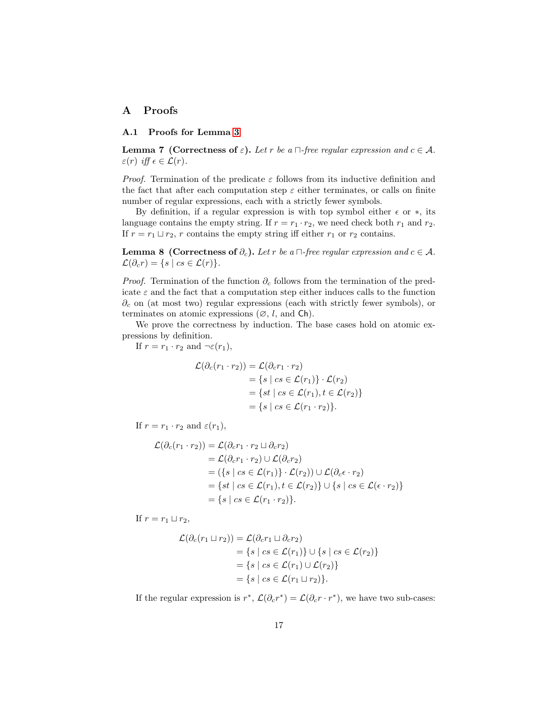# A Proofs

#### A.1 Proofs for Lemma [3](#page-11-5)

**Lemma 7** (Correctness of  $\varepsilon$ ). Let r be a  $\Box$ -free regular expression and  $c \in \mathcal{A}$ .  $\varepsilon(r)$  iff  $\epsilon \in \mathcal{L}(r)$ .

*Proof.* Termination of the predicate  $\varepsilon$  follows from its inductive definition and the fact that after each computation step  $\varepsilon$  either terminates, or calls on finite number of regular expressions, each with a strictly fewer symbols.

By definition, if a regular expression is with top symbol either  $\epsilon$  or  $\ast$ , its language contains the empty string. If  $r = r_1 \cdot r_2$ , we need check both  $r_1$  and  $r_2$ . If  $r = r_1 \sqcup r_2$ , r contains the empty string iff either  $r_1$  or  $r_2$  contains.

**Lemma 8 (Correctness of**  $\partial_c$ ). Let r be a  $\Box$ -free regular expression and  $c \in \mathcal{A}$ .  $\mathcal{L}(\partial_c r) = \{s \mid cs \in \mathcal{L}(r)\}.$ 

*Proof.* Termination of the function  $\partial_c$  follows from the termination of the predicate  $\varepsilon$  and the fact that a computation step either induces calls to the function  $\partial_c$  on (at most two) regular expressions (each with strictly fewer symbols), or terminates on atomic expressions  $(\emptyset, l, \text{ and } \mathsf{Ch})$ .

We prove the correctness by induction. The base cases hold on atomic expressions by definition.

If  $r = r_1 \cdot r_2$  and  $\neg \epsilon(r_1)$ ,

$$
\mathcal{L}(\partial_c(r_1 \cdot r_2)) = \mathcal{L}(\partial_c r_1 \cdot r_2)
$$
  
=  $\{s \mid cs \in \mathcal{L}(r_1)\} \cdot \mathcal{L}(r_2)$   
=  $\{st \mid cs \in \mathcal{L}(r_1), t \in \mathcal{L}(r_2)\}$   
=  $\{s \mid cs \in \mathcal{L}(r_1 \cdot r_2)\}.$ 

If  $r = r_1 \cdot r_2$  and  $\varepsilon(r_1)$ ,

$$
\mathcal{L}(\partial_c(r_1 \cdot r_2)) = \mathcal{L}(\partial_c r_1 \cdot r_2 \sqcup \partial_c r_2)
$$
  
=  $\mathcal{L}(\partial_c r_1 \cdot r_2) \cup \mathcal{L}(\partial_c r_2)$   
=  $\{\{s \mid cs \in \mathcal{L}(r_1)\} \cdot \mathcal{L}(r_2)) \cup \mathcal{L}(\partial_c \epsilon \cdot r_2)$   
=  $\{st \mid cs \in \mathcal{L}(r_1), t \in \mathcal{L}(r_2)\} \cup \{s \mid cs \in \mathcal{L}(\epsilon \cdot r_2)\}$   
=  $\{s \mid cs \in \mathcal{L}(r_1 \cdot r_2)\}.$ 

If  $r = r_1 \sqcup r_2$ ,

$$
\mathcal{L}(\partial_c(r_1 \sqcup r_2)) = \mathcal{L}(\partial_c r_1 \sqcup \partial_c r_2)
$$
  
=  $\{s \mid cs \in \mathcal{L}(r_1)\} \cup \{s \mid cs \in \mathcal{L}(r_2)\}\$   
=  $\{s \mid cs \in \mathcal{L}(r_1) \cup \mathcal{L}(r_2)\}\$   
=  $\{s \mid cs \in \mathcal{L}(r_1 \sqcup r_2)\}.$ 

If the regular expression is  $r^*$ ,  $\mathcal{L}(\partial_c r^*) = \mathcal{L}(\partial_c r \cdot r^*)$ , we have two sub-cases: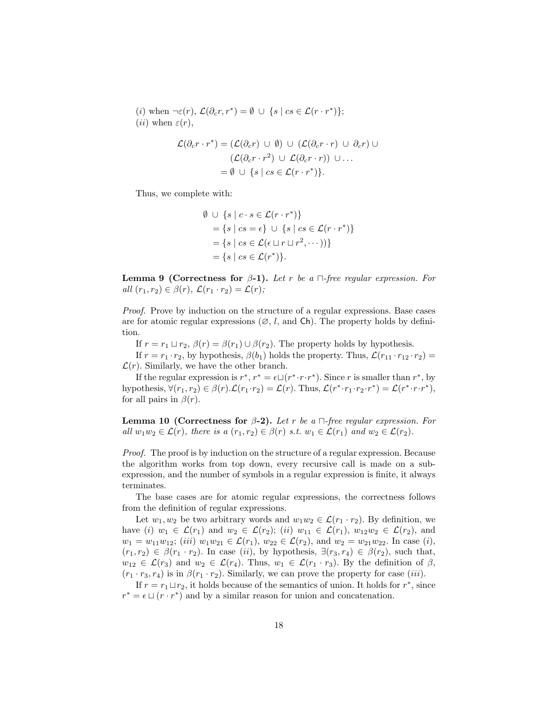(*i*) when  $\neg \varepsilon(r)$ ,  $\mathcal{L}(\partial_c r, r^*) = \emptyset \cup \{s \mid cs \in \mathcal{L}(r \cdot r^*)\};$ (*ii*) when  $\varepsilon(r)$ ,

$$
\mathcal{L}(\partial_c r \cdot r^*) = (\mathcal{L}(\partial_c r) \cup \emptyset) \cup (\mathcal{L}(\partial_c r \cdot r) \cup \partial_c r) \cup \n(\mathcal{L}(\partial_c r \cdot r^2) \cup \mathcal{L}(\partial_c r \cdot r)) \cup ... \n= \emptyset \cup \{s \mid cs \in \mathcal{L}(r \cdot r^*)\}.
$$

Thus, we complete with:

$$
\emptyset \cup \{s \mid c \cdot s \in \mathcal{L}(r \cdot r^*)\}
$$
  
=  $\{s \mid cs = \epsilon\} \cup \{s \mid cs \in \mathcal{L}(r \cdot r^*)\}$   
=  $\{s \mid cs \in \mathcal{L}(\epsilon \sqcup r \sqcup r^2, \cdots))\}$   
=  $\{s \mid cs \in \mathcal{L}(r^*)\}.$ 

Lemma 9 (Correctness for  $\beta$ -1). Let r be a  $\Box$ -free regular expression. For all  $(r_1, r_2) \in \beta(r)$ ,  $\mathcal{L}(r_1 \cdot r_2) = \mathcal{L}(r)$ ;

Proof. Prove by induction on the structure of a regular expressions. Base cases are for atomic regular expressions  $(\emptyset, l, \text{ and } \mathsf{Ch})$ . The property holds by definition.

If  $r = r_1 \sqcup r_2$ ,  $\beta(r) = \beta(r_1) \cup \beta(r_2)$ . The property holds by hypothesis.

If  $r = r_1 \cdot r_2$ , by hypothesis,  $\beta(b_1)$  holds the property. Thus,  $\mathcal{L}(r_{11} \cdot r_{12} \cdot r_2)$  $\mathcal{L}(r)$ . Similarly, we have the other branch.

If the regular expression is  $r^*$ ,  $r^* = \epsilon \sqcup (r^* \cdot r \cdot r^*)$ . Since r is smaller than  $r^*$ , by hypothesis,  $\forall (r_1, r_2) \in \beta(r) \cdot \mathcal{L}(r_1 \cdot r_2) = \mathcal{L}(r)$ . Thus,  $\mathcal{L}(r^* \cdot r_1 \cdot r_2 \cdot r^*) = \mathcal{L}(r^* \cdot r \cdot r^*)$ , for all pairs in  $\beta(r)$ .

<span id="page-17-0"></span>**Lemma 10 (Correctness for**  $\beta$ **-2).** Let r be a  $\Box$ -free regular expression. For all  $w_1w_2 \in \mathcal{L}(r)$ , there is a  $(r_1, r_2) \in \beta(r)$  s.t.  $w_1 \in \mathcal{L}(r_1)$  and  $w_2 \in \mathcal{L}(r_2)$ .

Proof. The proof is by induction on the structure of a regular expression. Because the algorithm works from top down, every recursive call is made on a subexpression, and the number of symbols in a regular expression is finite, it always terminates.

The base cases are for atomic regular expressions, the correctness follows from the definition of regular expressions.

Let  $w_1, w_2$  be two arbitrary words and  $w_1w_2 \in \mathcal{L}(r_1 \cdot r_2)$ . By definition, we have (i)  $w_1 \in \mathcal{L}(r_1)$  and  $w_2 \in \mathcal{L}(r_2)$ ; (ii)  $w_{11} \in \mathcal{L}(r_1)$ ,  $w_{12}w_2 \in \mathcal{L}(r_2)$ , and  $w_1 = w_{11}w_{12}$ ; (iii)  $w_1w_{21} \in \mathcal{L}(r_1)$ ,  $w_{22} \in \mathcal{L}(r_2)$ , and  $w_2 = w_{21}w_{22}$ . In case (i),  $(r_1, r_2) \in \beta(r_1 \cdot r_2)$ . In case  $(ii)$ , by hypothesis,  $\exists (r_3, r_4) \in \beta(r_2)$ , such that,  $w_{12} \in \mathcal{L}(r_3)$  and  $w_2 \in \mathcal{L}(r_4)$ . Thus,  $w_1 \in \mathcal{L}(r_1 \cdot r_3)$ . By the definition of  $\beta$ ,  $(r_1 \cdot r_3, r_4)$  is in  $\beta(r_1 \cdot r_2)$ . Similarly, we can prove the property for case (iii).

If  $r = r_1 \sqcup r_2$ , it holds because of the semantics of union. It holds for  $r^*$ , since  $r^* = \epsilon \sqcup (r \cdot r^*)$  and by a similar reason for union and concatenation.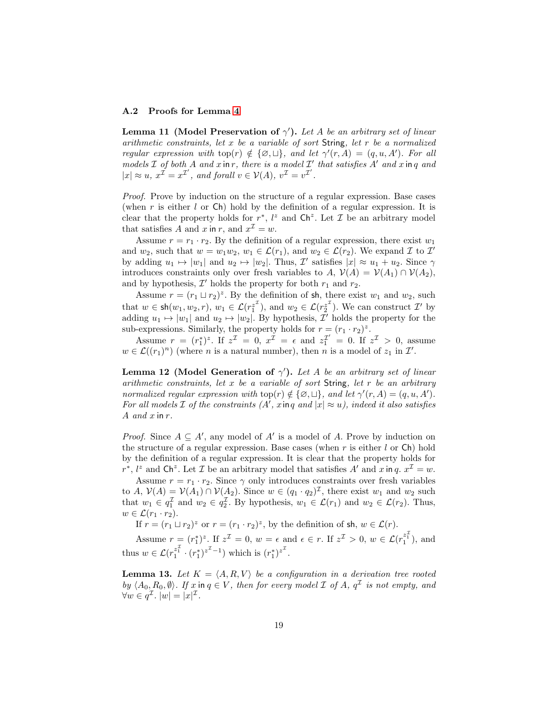#### A.2 Proofs for Lemma [4](#page-11-0)

<span id="page-18-0"></span>**Lemma 11** (Model Preservation of  $\gamma'$ ). Let A be an arbitrary set of linear arithmetic constraints, let x be a variable of sort String, let r be a normalized regular expression with top(r)  $\notin \{\emptyset, \sqcup\}$ , and let  $\gamma'(r, A) = (q, u, A')$ . For all models  $\mathcal I$  of both  $A$  and  $x$  in  $r$ , there is a model  $\mathcal I'$  that satisfies  $A'$  and  $x$  in  $q$  and  $|x| \approx u, x^{\mathcal{I}} = x^{\mathcal{I}'}, \text{ and for all } v \in \mathcal{V}(A), v^{\mathcal{I}} = v^{\mathcal{I}'}.$ 

Proof. Prove by induction on the structure of a regular expression. Base cases (when r is either  $l$  or  $Ch$ ) hold by the definition of a regular expression. It is clear that the property holds for  $r^*$ ,  $l^z$  and  $\mathsf{Ch}^z$ . Let  $\mathcal I$  be an arbitrary model that satisfies A and x in r, and  $x^{\mathcal{I}} = w$ .

Assume  $r = r_1 \cdot r_2$ . By the definition of a regular expression, there exist  $w_1$ and  $w_2$ , such that  $w = w_1w_2$ ,  $w_1 \in \mathcal{L}(r_1)$ , and  $w_2 \in \mathcal{L}(r_2)$ . We expand  $\mathcal I$  to  $\mathcal I'$ by adding  $u_1 \mapsto |w_1|$  and  $u_2 \mapsto |w_2|$ . Thus,  $\mathcal{I}'$  satisfies  $|x| \approx u_1 + u_2$ . Since  $\gamma$ introduces constraints only over fresh variables to A,  $\mathcal{V}(A) = \mathcal{V}(A_1) \cap \mathcal{V}(A_2)$ , and by hypothesis,  $\mathcal{I}'$  holds the property for both  $r_1$  and  $r_2$ .

Assume  $r = (r_1 \sqcup r_2)^z$ . By the definition of sh, there exist  $w_1$  and  $w_2$ , such that  $w \in \text{sh}(w_1, w_2, r)$ ,  $w_1 \in \mathcal{L}(r_1^{z^{\mathcal{I}}})$ , and  $w_2 \in \mathcal{L}(r_2^{z^{\mathcal{I}}})$ . We can construct  $\mathcal{I}'$  by adding  $u_1 \mapsto |w_1|$  and  $u_2 \mapsto |w_2|$ . By hypothesis,  $\mathcal{I}'$  holds the property for the sub-expressions. Similarly, the property holds for  $r = (r_1 \cdot r_2)^z$ .

Assume  $r = (r_1^*)^z$ . If  $z^{\mathcal{I}} = 0$ ,  $x^{\mathcal{I}} = \epsilon$  and  $z_1^{\mathcal{I}'} = 0$ . If  $z^{\mathcal{I}} > 0$ , assume  $w \in \mathcal{L}((r_1)^n)$  (where *n* is a natural number), then *n* is a model of  $z_1$  in  $\mathcal{I}'$ .

<span id="page-18-1"></span>**Lemma 12** (Model Generation of  $\gamma'$ ). Let A be an arbitrary set of linear arithmetic constraints, let  $x$  be a variable of sort String, let  $r$  be an arbitrary normalized regular expression with  $top(r) \notin {\emptyset, \sqcup},$  and let  $\gamma'(r, A) = (q, u, A')$ . For all models  $\mathcal I$  of the constraints  $(A', x \text{ in } q \text{ and } |x| \approx u)$ , indeed it also satisfies A and  $x$  in  $r$ .

*Proof.* Since  $A \subseteq A'$ , any model of  $A'$  is a model of A. Prove by induction on the structure of a regular expression. Base cases (when  $r$  is either  $l$  or  $Ch$ ) hold by the definition of a regular expression. It is clear that the property holds for  $r^*$ ,  $l^z$  and  $\mathsf{Ch}^z$ . Let  $\mathcal I$  be an arbitrary model that satisfies  $A'$  and  $x$  in  $q$ .  $x^{\mathcal{I}} = w$ .

Assume  $r = r_1 \cdot r_2$ . Since  $\gamma$  only introduces constraints over fresh variables to A,  $\mathcal{V}(A) = \mathcal{V}(A_1) \cap \mathcal{V}(A_2)$ . Since  $w \in (q_1 \cdot q_2)^{\mathcal{I}}$ , there exist  $w_1$  and  $w_2$  such that  $w_1 \in q_1^{\mathcal{I}}$  and  $w_2 \in q_2^{\mathcal{I}}$ . By hypothesis,  $w_1 \in \mathcal{L}(r_1)$  and  $w_2 \in \mathcal{L}(r_2)$ . Thus,  $w \in \mathcal{L}(r_1 \cdot r_2).$ 

If  $r = (r_1 \sqcup r_2)^z$  or  $r = (r_1 \cdot r_2)^z$ , by the definition of sh,  $w \in \mathcal{L}(r)$ .

Assume  $r = (r_1^*)^z$ . If  $z^{\mathcal{I}} = 0$ ,  $w = \epsilon$  and  $\epsilon \in r$ . If  $z^{\mathcal{I}} > 0$ ,  $w \in \mathcal{L}(r_1^{z_1^{\mathcal{I}}})$ , and thus  $w \in \mathcal{L}(r_1^{z_1^{\mathcal{I}}} \cdot (r_1^*)^{z^{\mathcal{I}}-1})$  which is  $(r_1^*)^{z^{\mathcal{I}}}$ .

<span id="page-18-2"></span>**Lemma 13.** Let  $K = \langle A, R, V \rangle$  be a configuration in a derivation tree rooted by  $\langle A_0, R_0, \emptyset \rangle$ . If x in  $q \in V$ , then for every model I of A,  $q^{\mathcal{I}}$  is not empty, and  $\forall w \in q^{\mathcal{I}}$ .  $|w| = |x|^{\mathcal{I}}$ .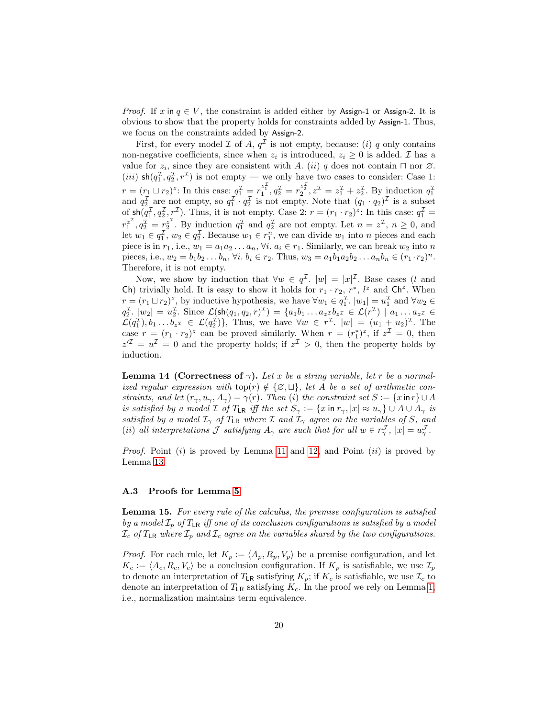*Proof.* If x in  $q \in V$ , the constraint is added either by Assign-1 or Assign-2. It is obvious to show that the property holds for constraints added by Assign-1. Thus, we focus on the constraints added by Assign-2.

First, for every model  $\mathcal I$  of  $A, q^{\mathcal I}$  is not empty, because: (i) q only contains non-negative coefficients, since when  $z_i$  is introduced,  $z_i \geq 0$  is added.  $\mathcal{I}$  has a value for  $z_i$ , since they are consistent with A. (ii) q does not contain  $\sqcap$  nor  $\varnothing$ . (*iii*)  $\sin(q_1^{\mathcal{I}}, q_2^{\mathcal{I}}, r^{\mathcal{I}})$  is not empty — we only have two cases to consider: Case 1:  $r = (r_1 \sqcup r_2)^z$ : In this case:  $q_1^{\mathcal{I}} = r_1^{z_1^{\mathcal{I}}}, q_2^{\mathcal{I}} = r_2^{z_2^{\mathcal{I}}}, z^{\mathcal{I}} = z_1^{\mathcal{I}} + z_2^{\mathcal{I}}$ . By induction  $q_1^{\mathcal{I}}$ <br>and  $q_2^{\mathcal{I}}$  are not empty, so  $q_1^{\mathcal{I}} \cdot q_2^{\mathcal{I}}$  is not empty. Not of  $\mathsf{sh}(q_1^{\mathcal{I}}, q_2^{\mathcal{I}}, r^{\mathcal{I}})$ . Thus, it is not empty. Case 2:  $r = (r_1 \cdot r_2)^z$ : In this case:  $q_1^{\mathcal{I}} =$  $r_1^{z^{\mathcal{I}}}, q_2^{\mathcal{I}} = r_2^{z^{\mathcal{I}}}$ . By induction  $q_1^{\mathcal{I}}$  and  $q_2^{\mathcal{I}}$  are not empty. Let  $n = z^{\mathcal{I}}, n \geq 0$ , and let  $w_1 \in q_1^{\mathcal{I}}$ ,  $w_2 \in q_2^{\mathcal{I}}$ . Because  $w_1 \in r_1^n$ , we can divide  $w_1$  into n pieces and each piece is in  $r_1$ , i.e.,  $w_1 = a_1 a_2 \dots a_n$ ,  $\forall i$ .  $a_i \in r_1$ . Similarly, we can break  $w_2$  into n pieces, i.e.,  $w_2 = b_1 b_2 ... b_n$ ,  $\forall i. b_i \in r_2$ . Thus,  $w_3 = a_1 b_1 a_2 b_2 ... a_n b_n \in (r_1 \cdot r_2)^n$ . Therefore, it is not empty.

Now, we show by induction that  $\forall w \in q^{\mathcal{I}}$ .  $|w| = |x|^{\mathcal{I}}$ . Base cases (l and Ch) trivially hold. It is easy to show it holds for  $r_1 \cdot r_2$ ,  $r^*$ ,  $l^z$  and  $Ch^z$ . When  $r = (r_1 \sqcup r_2)^z$ , by inductive hypothesis, we have  $\forall w_1 \in q_1^{\mathcal{I}}$ .  $|w_1| = u_1^{\mathcal{I}}$  and  $\forall w_2 \in$  $q_2^{\mathcal{I}} \cdot |w_2| = u_2^{\mathcal{I}}$ . Since  $\mathcal{L}(\text{sh}(q_1, q_2, r)^{\mathcal{I}}) = \{a_1b_1 \dots a_z \cdot b_z \cdot z \in \mathcal{L}(r^{\mathcal{I}}) \mid a_1 \dots a_z \cdot z \in$  $\mathcal{L}(q_1^{\mathcal{I}}), b_1 \ldots b_z \mathcal{I} \in \mathcal{L}(q_2^{\mathcal{I}})\},$  Thus, we have  $\forall w \in r^{\mathcal{I}}$ .  $|w| = (u_1 + u_2)^{\mathcal{I}}$ . The case  $r = (r_1 \cdot r_2)^z$  can be proved similarly. When  $r = (r_1^*)^z$ , if  $z^{\mathcal{I}} = 0$ , then  $z<sup>2</sup> = u<sup>\mathcal{I}</sup> = 0$  and the property holds; if  $z<sup>\mathcal{I}</sup> > 0$ , then the property holds by induction.

**Lemma 14 (Correctness of**  $\gamma$ **).** Let x be a string variable, let r be a normalized regular expression with top(r)  $\notin \{\emptyset, \sqcup\}$ , let A be a set of arithmetic constraints, and let  $(r_{\gamma}, u_{\gamma}, A_{\gamma}) = \gamma(r)$ . Then (i) the constraint set  $S := \{x \text{ in } r\} \cup A$ is satisfied by a model  $\mathcal I$  of  $T_{\mathsf{LR}}$  iff the set  $S_\gamma := \{x \text{ in } r_\gamma, |x| \approx u_\gamma\} \cup A \cup A_\gamma$  is satisfied by a model  $\mathcal{I}_{\gamma}$  of  $T_{LR}$  where  $\mathcal I$  and  $\mathcal{I}_{\gamma}$  agree on the variables of S, and (ii) all interpretations  $\mathcal J$  satisfying  $A_\gamma$  are such that for all  $w \in r_\gamma^{\mathcal J}$ ,  $|x| = u_\gamma^{\mathcal J}$ .

*Proof.* Point  $(i)$  is proved by Lemma [11](#page-18-0) and [12,](#page-18-1) and Point  $(ii)$  is proved by Lemma [13.](#page-18-2)

#### A.3 Proofs for Lemma [5](#page-11-6)

Lemma 15. For every rule of the calculus, the premise configuration is satisfied by a model  $\mathcal{I}_p$  of  $T_{LR}$  iff one of its conclusion configurations is satisfied by a model  $\mathcal{I}_c$  of  $T_{LR}$  where  $\mathcal{I}_p$  and  $\mathcal{I}_c$  agree on the variables shared by the two configurations.

*Proof.* For each rule, let  $K_p := \langle A_p, R_p, V_p \rangle$  be a premise configuration, and let  $K_c := \langle A_c, R_c, V_c \rangle$  be a conclusion configuration. If  $K_p$  is satisfiable, we use  $\mathcal{I}_p$ to denote an interpretation of  $T_{LR}$  satisfying  $K_p$ ; if  $K_c$  is satisfiable, we use  $\mathcal{I}_c$  to denote an interpretation of  $T_{LR}$  satisfying  $K_c$ . In the proof we rely on Lemma [1,](#page-11-2) i.e., normalization maintains term equivalence.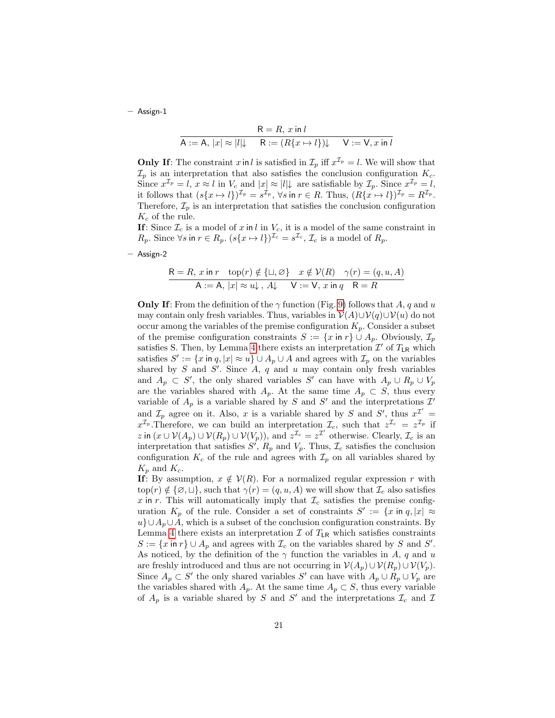– Assign-1

$$
\mathsf{R} = R, \, x \text{ in } l
$$
\n
$$
\mathsf{A} := \mathsf{A}, \, |x| \approx |l|, \quad \mathsf{R} := (R\{x \mapsto l\}) \downarrow \quad \mathsf{V} := \mathsf{V}, x \text{ in } l
$$

**Only If:** The constraint x in l is satisfied in  $\mathcal{I}_p$  iff  $x^{\mathcal{I}_p} = l$ . We will show that  $\mathcal{I}_p$  is an interpretation that also satisfies the conclusion configuration  $K_c$ . Since  $x^{\mathcal{I}_p} = l$ ,  $x \approx l$  in  $V_c$  and  $|x| \approx |l| \downarrow$  are satisfiable by  $\mathcal{I}_p$ . Since  $x^{\mathcal{I}_p} = l$ , it follows that  $(s\{x \mapsto l\})^{\mathcal{I}_p} = s^{\mathcal{I}_p}, \forall s \text{ in } r \in R.$  Thus,  $(R\{x \mapsto l\})^{\mathcal{I}_p} = R^{\mathcal{I}_p}.$ Therefore,  $\mathcal{I}_p$  is an interpretation that satisfies the conclusion configuration  $K_c$  of the rule.

If: Since  $\mathcal{I}_c$  is a model of x in l in  $V_c$ , it is a model of the same constraint in  $R_p$ . Since  $\forall s$  in  $r \in R_p$ .  $(s\{x \mapsto l\})^{\mathcal{I}_c} = s^{\mathcal{I}_c}$ ,  $\mathcal{I}_c$  is a model of  $R_p$ .

– Assign-2

$$
\frac{\mathsf{R} = R, x \text{ in } r \text{ top}(r) \notin \{\sqcup, \varnothing\} \quad x \notin \mathcal{V}(R) \quad \gamma(r) = (q, u, A)}{\mathsf{A} := \mathsf{A}, |x| \approx u\downarrow, A\downarrow \quad \mathsf{V} := \mathsf{V}, x \text{ in } q \quad \mathsf{R} = R}
$$

**Only If:** From the definition of the  $\gamma$  function (Fig. [9\)](#page-10-0) follows that A, q and u may contain only fresh variables. Thus, variables in  $\mathcal{V}(A)\cup\mathcal{V}(q)\cup\mathcal{V}(u)$  do not occur among the variables of the premise configuration  $K_p$ . Consider a subset of the premise configuration constraints  $S := \{x \text{ in } r\} \cup A_p$ . Obviously,  $\mathcal{I}_p$ satisfies S. Then, by Lemma [4](#page-11-0) there exists an interpretation  $\mathcal{I}'$  of  $T_{LR}$  which satisfies  $S' := \{x \text{ in } q, |x| \approx u\} \cup A_p \cup A$  and agrees with  $\mathcal{I}_p$  on the variables shared by  $S$  and  $S'$ . Since  $A$ ,  $q$  and  $u$  may contain only fresh variables and  $A_p \subset S'$ , the only shared variables S' can have with  $A_p \cup R_p \cup V_p$ are the variables shared with  $A_p$ . At the same time  $A_p \subset S$ , thus every variable of  $A_p$  is a variable shared by S and S' and the interpretations  $\mathcal{I}'$ and  $\mathcal{I}_p$  agree on it. Also, x is a variable shared by S and S', thus  $x^{\mathcal{I}'} =$  $x^{\mathcal{I}_p}$ . Therefore, we can build an interpretation  $\mathcal{I}_c$ , such that  $z^{\mathcal{I}_c} = z^{\mathcal{I}_p}$  if z in  $(x \cup V(A_p) \cup V(B_p) \cup V(V_p)$ , and  $z^{T_c} = z^{T'}$  otherwise. Clearly,  $\mathcal{I}_c$  is an interpretation that satisfies  $S^{\prime}$ ,  $R_p$  and  $V_p$ . Thus,  $\mathcal{I}_c$  satisfies the conclusion configuration  $K_c$  of the rule and agrees with  $\mathcal{I}_p$  on all variables shared by  $K_p$  and  $K_c$ .

If: By assumption,  $x \notin V(R)$ . For a normalized regular expression r with  $top(r) \notin {\emptyset, \sqcup},$  such that  $\gamma(r) = (q, u, A)$  we will show that  $\mathcal{I}_c$  also satisfies x in r. This will automatically imply that  $\mathcal{I}_c$  satisfies the premise configuration  $K_p$  of the rule. Consider a set of constraints  $S' := \{x \text{ in } q, |x| \approx$  $u$ }∪ $A_p \cup A$ , which is a subset of the conclusion configuration constraints. By Lemma [4](#page-11-0) there exists an interpretation  $\mathcal I$  of  $T_{LR}$  which satisfies constraints  $S := \{x \text{ in } r\} \cup A_p$  and agrees with  $\mathcal{I}_c$  on the variables shared by S and S'. As noticed, by the definition of the  $\gamma$  function the variables in A, q and u are freshly introduced and thus are not occurring in  $\mathcal{V}(A_p) \cup \mathcal{V}(R_p) \cup \mathcal{V}(V_p)$ . Since  $A_p \subset S'$  the only shared variables S' can have with  $A_p \cup R_p \cup V_p$  are the variables shared with  $A_p$ . At the same time  $A_p \subset S$ , thus every variable of  $A_p$  is a variable shared by S and S' and the interpretations  $\mathcal{I}_c$  and I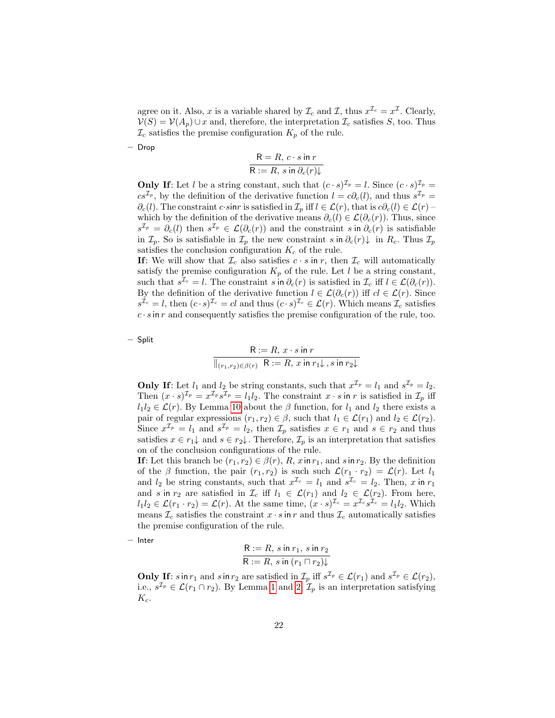agree on it. Also, x is a variable shared by  $\mathcal{I}_c$  and  $\mathcal{I}$ , thus  $x^{\mathcal{I}_c} = x^{\mathcal{I}}$ . Clearly,  $\mathcal{V}(S) = \mathcal{V}(A_p) \cup x$  and, therefore, the interpretation  $\mathcal{I}_c$  satisfies S, too. Thus  $\mathcal{I}_c$  satisfies the premise configuration  $K_p$  of the rule.

– Drop

$$
\frac{\mathsf{R} = R, \, c \cdot s \text{ in } r}{\mathsf{R} := R, \, s \text{ in } \partial_c(r)\downarrow}
$$

**Only If**: Let l be a string constant, such that  $(c \cdot s)^{I_p} = l$ . Since  $(c \cdot s)^{I_p} =$  $cs^{\mathcal{I}_p}$ , by the definition of the derivative function  $l = c\partial_c(l)$ , and thus  $s^{\mathcal{I}_p} =$  $\partial_c(l)$ . The constraint c·sinr is satisfied in  $\mathcal{I}_p$  iff  $l \in \mathcal{L}(r)$ , that is  $c\partial_c(l) \in \mathcal{L}(r)$ which by the definition of the derivative means  $\partial_c(l) \in \mathcal{L}(\partial_c(r))$ . Thus, since  $s^{\mathcal{I}_p} = \partial_c(l)$  then  $s^{\mathcal{I}_p} \in \mathcal{L}(\partial_c(r))$  and the constraint s in  $\partial_c(r)$  is satisfiable in  $\mathcal{I}_p$ . So is satisfiable in  $\mathcal{I}_p$  the new constraint s in  $\partial_c(r)\downarrow$  in  $R_c$ . Thus  $\mathcal{I}_p$ satisfies the conclusion configuration  $K_c$  of the rule.

If: We will show that  $\mathcal{I}_c$  also satisfies  $c \cdot s$  in r, then  $\mathcal{I}_c$  will automatically satisfy the premise configuration  $K_p$  of the rule. Let l be a string constant, such that  $s^{\mathcal{I}_c} = l$ . The constraint s in  $\partial_c(r)$  is satisfied in  $\mathcal{I}_c$  iff  $l \in \mathcal{L}(\partial_c(r))$ . By the definition of the derivative function  $l \in \mathcal{L}(\partial_c(r))$  iff  $cl \in \mathcal{L}(r)$ . Since  $s^{\mathcal{I}_c} = l$ , then  $(c \cdot s)^{\mathcal{I}_c} = cl$  and thus  $(c \cdot s)^{\mathcal{I}_c} \in \mathcal{L}(r)$ . Which means  $\mathcal{I}_c$  satisfies  $c \cdot s$  in r and consequently satisfies the premise configuration of the rule, too.

– Split

$$
\frac{\mathsf{R} := R, x \cdot s \text{ in } r}{\|_{(r_1, r_2) \in \beta(r)} \mathsf{R} := R, x \text{ in } r_1 \downarrow, s \text{ in } r_2 \downarrow}
$$

**Only If**: Let  $l_1$  and  $l_2$  be string constants, such that  $x^{T_p} = l_1$  and  $s^{T_p} = l_2$ . Then  $(x \cdot s)^{\mathcal{I}_p} = x^{\mathcal{I}_p} s^{\mathcal{I}_p} = l_1 l_2$ . The constraint  $x \cdot s$  in r is satisfied in  $\mathcal{I}_p$  iff  $l_1l_2 \in \mathcal{L}(r)$ . By Lemma [10](#page-17-0) about the  $\beta$  function, for  $l_1$  and  $l_2$  there exists a pair of regular expressions  $(r_1, r_2) \in \beta$ , such that  $l_1 \in \mathcal{L}(r_1)$  and  $l_2 \in \mathcal{L}(r_2)$ . Since  $x^{\mathcal{I}_p} = l_1$  and  $s^{\mathcal{I}_p} = l_2$ , then  $\mathcal{I}_p$  satisfies  $x \in r_1$  and  $s \in r_2$  and thus satisfies  $x \in r_1 \downarrow$  and  $s \in r_2 \downarrow$ . Therefore,  $\mathcal{I}_p$  is an interpretation that satisfies on of the conclusion configurations of the rule.

If: Let this branch be  $(r_1, r_2) \in \beta(r)$ , R, x in  $r_1$ , and s in  $r_2$ . By the definition of the  $\beta$  function, the pair  $(r_1, r_2)$  is such such  $\mathcal{L}(r_1 \cdot r_2) = \mathcal{L}(r)$ . Let  $l_1$ and  $l_2$  be string constants, such that  $x^{\mathcal{I}_c} = l_1$  and  $s^{\mathcal{I}_c} = l_2$ . Then, x in  $r_1$ and s in  $r_2$  are satisfied in  $\mathcal{I}_c$  iff  $l_1 \in \mathcal{L}(r_1)$  and  $l_2 \in \mathcal{L}(r_2)$ . From here,  $l_1 l_2 \in \mathcal{L}(r_1 \cdot r_2) = \mathcal{L}(r)$ . At the same time,  $(x \cdot s)^{\mathcal{I}_c} = x^{\mathcal{I}_c} s^{\mathcal{I}_c} = l_1 l_2$ . Which means  $\mathcal{I}_c$  satisfies the constraint  $x \cdot s$  in r and thus  $\mathcal{I}_c$  automatically satisfies the premise configuration of the rule.

– Inter

$$
R := R, s \text{ in } r_1, s \text{ in } r_2
$$
  

$$
R := R, s \text{ in } (r_1 \sqcap r_2) \downarrow
$$

**Only If**:  $s \text{ in } r_1$  and  $s \text{ in } r_2$  are satisfied in  $\mathcal{I}_p$  iff  $s^{\mathcal{I}_p} \in \mathcal{L}(r_1)$  and  $s^{\mathcal{I}_p} \in \mathcal{L}(r_2)$ , i.e.,  $s^{\mathcal{I}_p} \in \mathcal{L}(r_1 \cap r_2)$ . By Lemma [1](#page-11-2) and [2,](#page-11-3)  $\mathcal{I}_p$  is an interpretation satisfying  $K_c$ .